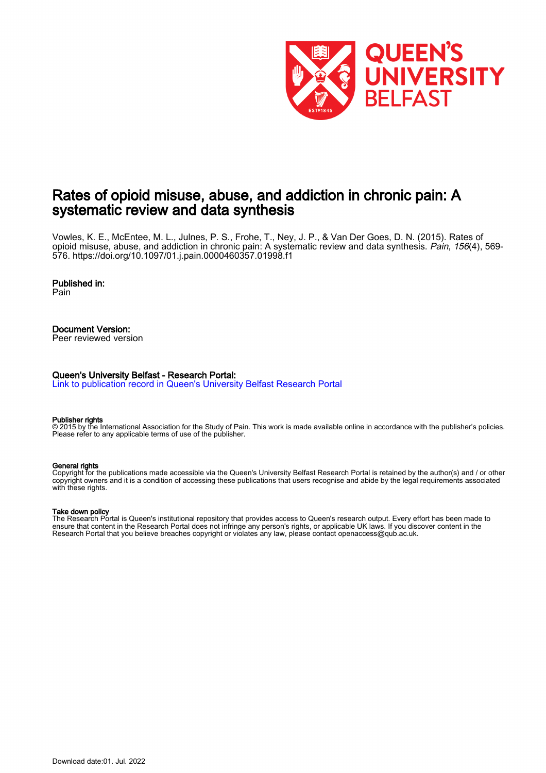

# Rates of opioid misuse, abuse, and addiction in chronic pain: A systematic review and data synthesis

Vowles, K. E., McEntee, M. L., Julnes, P. S., Frohe, T., Ney, J. P., & Van Der Goes, D. N. (2015). Rates of opioid misuse, abuse, and addiction in chronic pain: A systematic review and data synthesis. Pain, 156(4), 569-576.<https://doi.org/10.1097/01.j.pain.0000460357.01998.f1>

# Published in:

Pain

# Document Version:

Peer reviewed version

#### Queen's University Belfast - Research Portal:

[Link to publication record in Queen's University Belfast Research Portal](https://pure.qub.ac.uk/en/publications/41e7f890-3e6c-4dcc-85a7-e38f30e6eb3b)

#### Publisher rights

© 2015 by the International Association for the Study of Pain. This work is made available online in accordance with the publisher's policies. Please refer to any applicable terms of use of the publisher.

#### General rights

Copyright for the publications made accessible via the Queen's University Belfast Research Portal is retained by the author(s) and / or other copyright owners and it is a condition of accessing these publications that users recognise and abide by the legal requirements associated with these rights.

#### Take down policy

The Research Portal is Queen's institutional repository that provides access to Queen's research output. Every effort has been made to ensure that content in the Research Portal does not infringe any person's rights, or applicable UK laws. If you discover content in the Research Portal that you believe breaches copyright or violates any law, please contact openaccess@qub.ac.uk.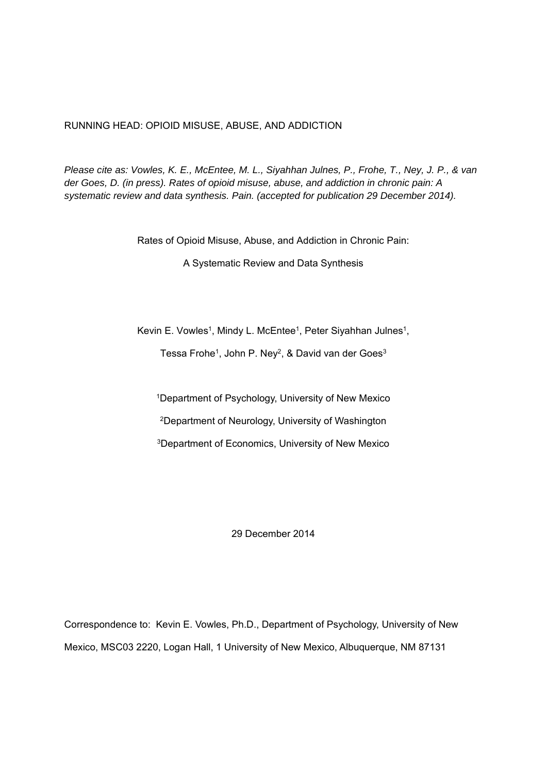RUNNING HEAD: OPIOID MISUSE, ABUSE, AND ADDICTION

*Please cite as: Vowles, K. E., McEntee, M. L., Siyahhan Julnes, P., Frohe, T., Ney, J. P., & van der Goes, D. (in press). Rates of opioid misuse, abuse, and addiction in chronic pain: A systematic review and data synthesis. Pain. (accepted for publication 29 December 2014).* 

Rates of Opioid Misuse, Abuse, and Addiction in Chronic Pain:

A Systematic Review and Data Synthesis

Kevin E. Vowles<sup>1</sup>, Mindy L. McEntee<sup>1</sup>, Peter Siyahhan Julnes<sup>1</sup>,

Tessa Frohe<sup>1</sup>, John P. Ney<sup>2</sup>, & David van der Goes<sup>3</sup>

1Department of Psychology, University of New Mexico

2Department of Neurology, University of Washington

3Department of Economics, University of New Mexico

29 December 2014

Correspondence to: Kevin E. Vowles, Ph.D., Department of Psychology, University of New Mexico, MSC03 2220, Logan Hall, 1 University of New Mexico, Albuquerque, NM 87131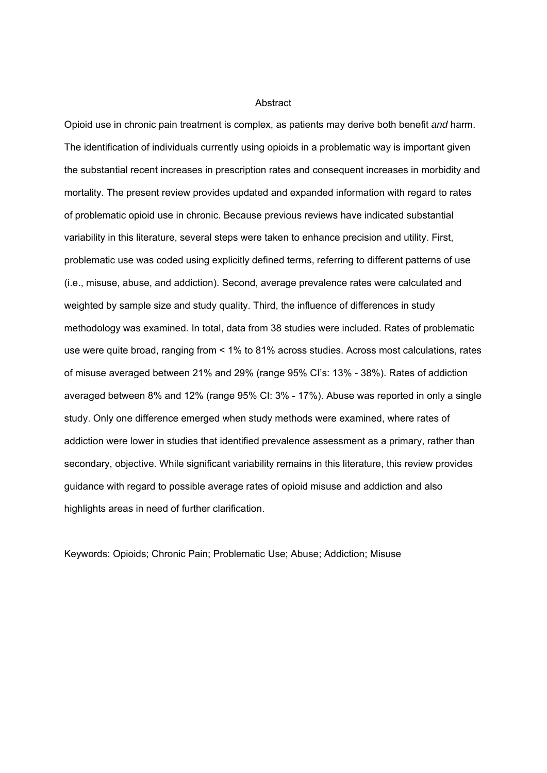#### **Abstract**

Opioid use in chronic pain treatment is complex, as patients may derive both benefit *and* harm. The identification of individuals currently using opioids in a problematic way is important given the substantial recent increases in prescription rates and consequent increases in morbidity and mortality. The present review provides updated and expanded information with regard to rates of problematic opioid use in chronic. Because previous reviews have indicated substantial variability in this literature, several steps were taken to enhance precision and utility. First, problematic use was coded using explicitly defined terms, referring to different patterns of use (i.e., misuse, abuse, and addiction). Second, average prevalence rates were calculated and weighted by sample size and study quality. Third, the influence of differences in study methodology was examined. In total, data from 38 studies were included. Rates of problematic use were quite broad, ranging from < 1% to 81% across studies. Across most calculations, rates of misuse averaged between 21% and 29% (range 95% CI's: 13% - 38%). Rates of addiction averaged between 8% and 12% (range 95% CI: 3% - 17%). Abuse was reported in only a single study. Only one difference emerged when study methods were examined, where rates of addiction were lower in studies that identified prevalence assessment as a primary, rather than secondary, objective. While significant variability remains in this literature, this review provides guidance with regard to possible average rates of opioid misuse and addiction and also highlights areas in need of further clarification.

Keywords: Opioids; Chronic Pain; Problematic Use; Abuse; Addiction; Misuse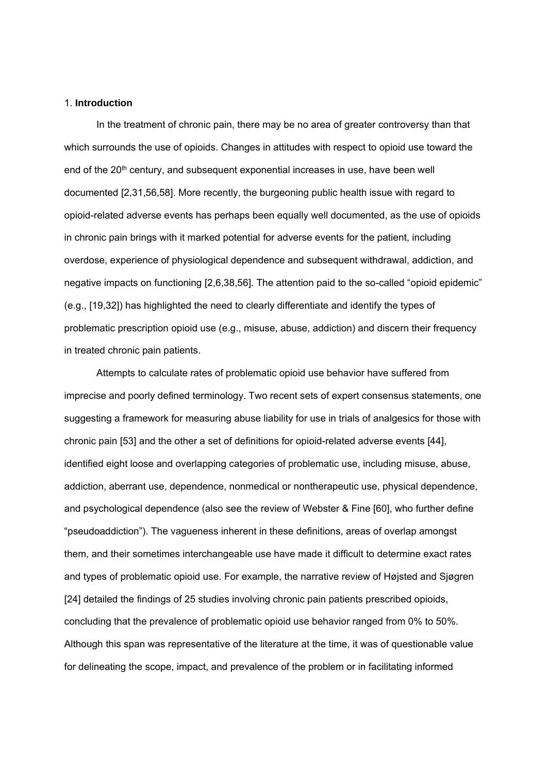#### 1. **Introduction**

In the treatment of chronic pain, there may be no area of greater controversy than that which surrounds the use of opioids. Changes in attitudes with respect to opioid use toward the end of the 20<sup>th</sup> century, and subsequent exponential increases in use, have been well documented [2,31,56,58]. More recently, the burgeoning public health issue with regard to opioid-related adverse events has perhaps been equally well documented, as the use of opioids in chronic pain brings with it marked potential for adverse events for the patient, including overdose, experience of physiological dependence and subsequent withdrawal, addiction, and negative impacts on functioning [2,6,38,56]. The attention paid to the so-called "opioid epidemic" (e.g., [19,32]) has highlighted the need to clearly differentiate and identify the types of problematic prescription opioid use (e.g., misuse, abuse, addiction) and discern their frequency in treated chronic pain patients.

 Attempts to calculate rates of problematic opioid use behavior have suffered from imprecise and poorly defined terminology. Two recent sets of expert consensus statements, one suggesting a framework for measuring abuse liability for use in trials of analgesics for those with chronic pain [53] and the other a set of definitions for opioid-related adverse events [44], identified eight loose and overlapping categories of problematic use, including misuse, abuse, addiction, aberrant use, dependence, nonmedical or nontherapeutic use, physical dependence, and psychological dependence (also see the review of Webster & Fine [60], who further define "pseudoaddiction"). The vagueness inherent in these definitions, areas of overlap amongst them, and their sometimes interchangeable use have made it difficult to determine exact rates and types of problematic opioid use. For example, the narrative review of Højsted and Sjøgren [24] detailed the findings of 25 studies involving chronic pain patients prescribed opioids, concluding that the prevalence of problematic opioid use behavior ranged from 0% to 50%. Although this span was representative of the literature at the time, it was of questionable value for delineating the scope, impact, and prevalence of the problem or in facilitating informed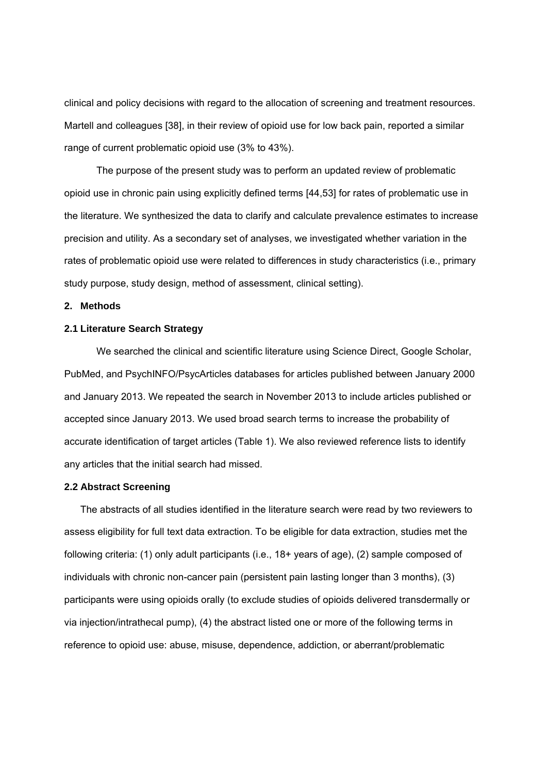clinical and policy decisions with regard to the allocation of screening and treatment resources. Martell and colleagues [38], in their review of opioid use for low back pain, reported a similar range of current problematic opioid use (3% to 43%).

 The purpose of the present study was to perform an updated review of problematic opioid use in chronic pain using explicitly defined terms [44,53] for rates of problematic use in the literature. We synthesized the data to clarify and calculate prevalence estimates to increase precision and utility. As a secondary set of analyses, we investigated whether variation in the rates of problematic opioid use were related to differences in study characteristics (i.e., primary study purpose, study design, method of assessment, clinical setting).

### **2. Methods**

### **2.1 Literature Search Strategy**

 We searched the clinical and scientific literature using Science Direct, Google Scholar, PubMed, and PsychINFO/PsycArticles databases for articles published between January 2000 and January 2013. We repeated the search in November 2013 to include articles published or accepted since January 2013. We used broad search terms to increase the probability of accurate identification of target articles (Table 1). We also reviewed reference lists to identify any articles that the initial search had missed.

### **2.2 Abstract Screening**

The abstracts of all studies identified in the literature search were read by two reviewers to assess eligibility for full text data extraction. To be eligible for data extraction, studies met the following criteria: (1) only adult participants (i.e., 18+ years of age), (2) sample composed of individuals with chronic non-cancer pain (persistent pain lasting longer than 3 months), (3) participants were using opioids orally (to exclude studies of opioids delivered transdermally or via injection/intrathecal pump), (4) the abstract listed one or more of the following terms in reference to opioid use: abuse, misuse, dependence, addiction, or aberrant/problematic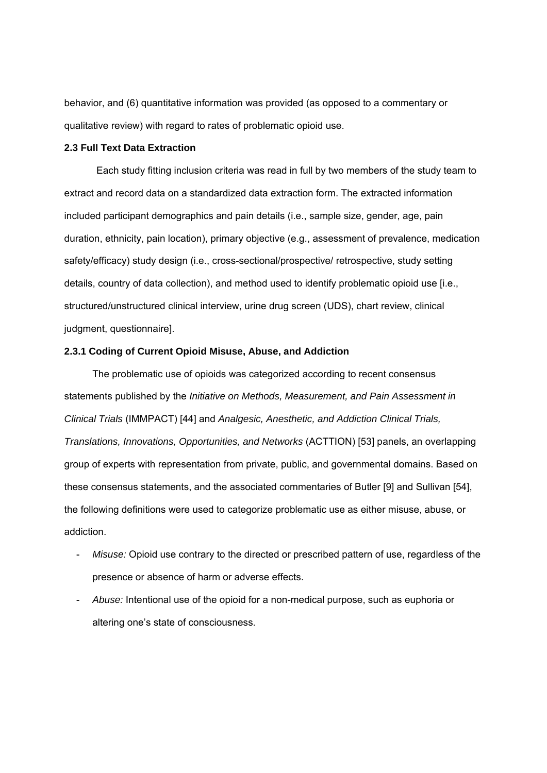behavior, and (6) quantitative information was provided (as opposed to a commentary or qualitative review) with regard to rates of problematic opioid use.

## **2.3 Full Text Data Extraction**

 Each study fitting inclusion criteria was read in full by two members of the study team to extract and record data on a standardized data extraction form. The extracted information included participant demographics and pain details (i.e., sample size, gender, age, pain duration, ethnicity, pain location), primary objective (e.g., assessment of prevalence, medication safety/efficacy) study design (i.e., cross-sectional/prospective/ retrospective, study setting details, country of data collection), and method used to identify problematic opioid use [i.e., structured/unstructured clinical interview, urine drug screen (UDS), chart review, clinical judgment, questionnaire].

#### **2.3.1 Coding of Current Opioid Misuse, Abuse, and Addiction**

The problematic use of opioids was categorized according to recent consensus statements published by the *Initiative on Methods, Measurement, and Pain Assessment in Clinical Trials* (IMMPACT) [44] and *Analgesic, Anesthetic, and Addiction Clinical Trials, Translations, Innovations, Opportunities, and Networks* (ACTTION) [53] panels, an overlapping group of experts with representation from private, public, and governmental domains. Based on these consensus statements, and the associated commentaries of Butler [9] and Sullivan [54], the following definitions were used to categorize problematic use as either misuse, abuse, or addiction.

- *Misuse:* Opioid use contrary to the directed or prescribed pattern of use, regardless of the presence or absence of harm or adverse effects.
- *Abuse:* Intentional use of the opioid for a non-medical purpose, such as euphoria or altering one's state of consciousness.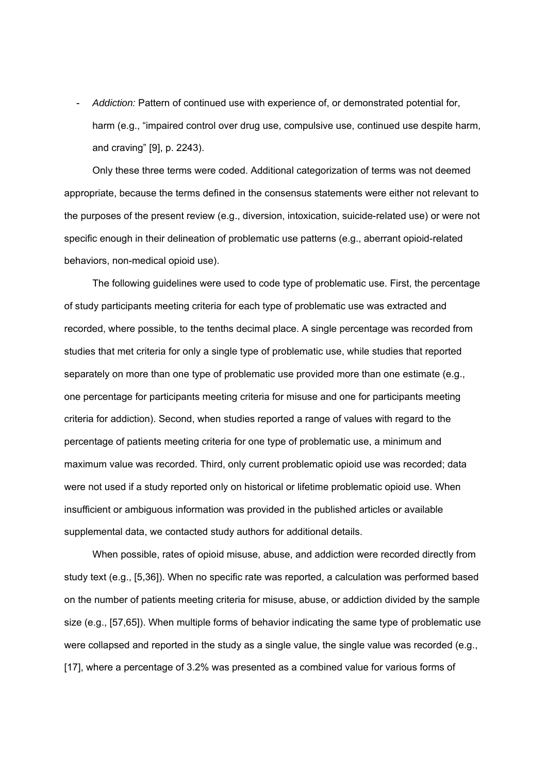- *Addiction:* Pattern of continued use with experience of, or demonstrated potential for, harm (e.g., "impaired control over drug use, compulsive use, continued use despite harm, and craving" [9], p. 2243).

Only these three terms were coded. Additional categorization of terms was not deemed appropriate, because the terms defined in the consensus statements were either not relevant to the purposes of the present review (e.g., diversion, intoxication, suicide-related use) or were not specific enough in their delineation of problematic use patterns (e.g., aberrant opioid-related behaviors, non-medical opioid use).

The following guidelines were used to code type of problematic use. First, the percentage of study participants meeting criteria for each type of problematic use was extracted and recorded, where possible, to the tenths decimal place. A single percentage was recorded from studies that met criteria for only a single type of problematic use, while studies that reported separately on more than one type of problematic use provided more than one estimate (e.g., one percentage for participants meeting criteria for misuse and one for participants meeting criteria for addiction). Second, when studies reported a range of values with regard to the percentage of patients meeting criteria for one type of problematic use, a minimum and maximum value was recorded. Third, only current problematic opioid use was recorded; data were not used if a study reported only on historical or lifetime problematic opioid use. When insufficient or ambiguous information was provided in the published articles or available supplemental data, we contacted study authors for additional details.

When possible, rates of opioid misuse, abuse, and addiction were recorded directly from study text (e.g., [5,36]). When no specific rate was reported, a calculation was performed based on the number of patients meeting criteria for misuse, abuse, or addiction divided by the sample size (e.g., [57,65]). When multiple forms of behavior indicating the same type of problematic use were collapsed and reported in the study as a single value, the single value was recorded (e.g., [17], where a percentage of 3.2% was presented as a combined value for various forms of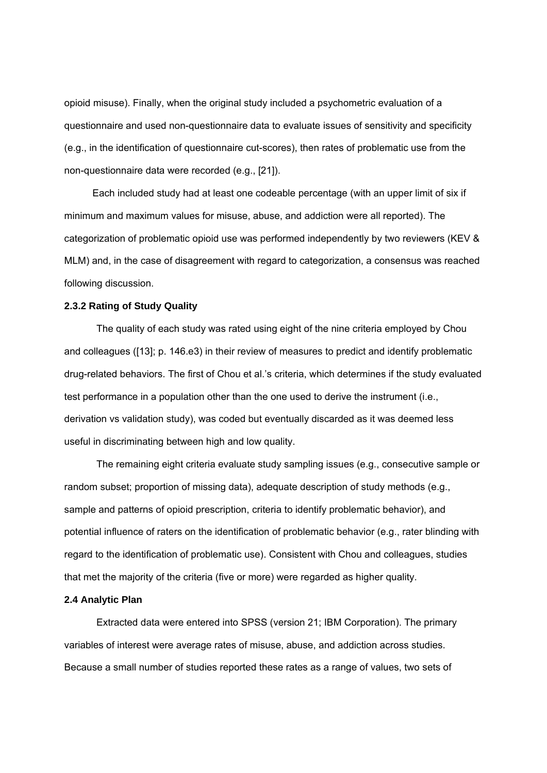opioid misuse). Finally, when the original study included a psychometric evaluation of a questionnaire and used non-questionnaire data to evaluate issues of sensitivity and specificity (e.g., in the identification of questionnaire cut-scores), then rates of problematic use from the non-questionnaire data were recorded (e.g., [21]).

Each included study had at least one codeable percentage (with an upper limit of six if minimum and maximum values for misuse, abuse, and addiction were all reported). The categorization of problematic opioid use was performed independently by two reviewers (KEV & MLM) and, in the case of disagreement with regard to categorization, a consensus was reached following discussion.

# **2.3.2 Rating of Study Quality**

The quality of each study was rated using eight of the nine criteria employed by Chou and colleagues ([13]; p. 146.e3) in their review of measures to predict and identify problematic drug-related behaviors. The first of Chou et al.'s criteria, which determines if the study evaluated test performance in a population other than the one used to derive the instrument (i.e., derivation vs validation study), was coded but eventually discarded as it was deemed less useful in discriminating between high and low quality.

The remaining eight criteria evaluate study sampling issues (e.g., consecutive sample or random subset; proportion of missing data), adequate description of study methods (e.g., sample and patterns of opioid prescription, criteria to identify problematic behavior), and potential influence of raters on the identification of problematic behavior (e.g., rater blinding with regard to the identification of problematic use). Consistent with Chou and colleagues, studies that met the majority of the criteria (five or more) were regarded as higher quality.

### **2.4 Analytic Plan**

Extracted data were entered into SPSS (version 21; IBM Corporation). The primary variables of interest were average rates of misuse, abuse, and addiction across studies. Because a small number of studies reported these rates as a range of values, two sets of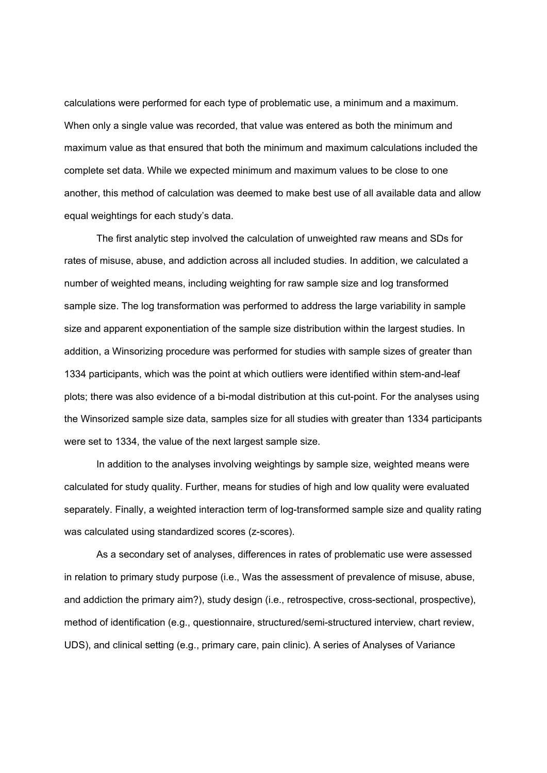calculations were performed for each type of problematic use, a minimum and a maximum. When only a single value was recorded, that value was entered as both the minimum and maximum value as that ensured that both the minimum and maximum calculations included the complete set data. While we expected minimum and maximum values to be close to one another, this method of calculation was deemed to make best use of all available data and allow equal weightings for each study's data.

The first analytic step involved the calculation of unweighted raw means and SDs for rates of misuse, abuse, and addiction across all included studies. In addition, we calculated a number of weighted means, including weighting for raw sample size and log transformed sample size. The log transformation was performed to address the large variability in sample size and apparent exponentiation of the sample size distribution within the largest studies. In addition, a Winsorizing procedure was performed for studies with sample sizes of greater than 1334 participants, which was the point at which outliers were identified within stem-and-leaf plots; there was also evidence of a bi-modal distribution at this cut-point. For the analyses using the Winsorized sample size data, samples size for all studies with greater than 1334 participants were set to 1334, the value of the next largest sample size.

In addition to the analyses involving weightings by sample size, weighted means were calculated for study quality. Further, means for studies of high and low quality were evaluated separately. Finally, a weighted interaction term of log-transformed sample size and quality rating was calculated using standardized scores (z-scores).

As a secondary set of analyses, differences in rates of problematic use were assessed in relation to primary study purpose (i.e., Was the assessment of prevalence of misuse, abuse, and addiction the primary aim?), study design (i.e., retrospective, cross-sectional, prospective), method of identification (e.g., questionnaire, structured/semi-structured interview, chart review, UDS), and clinical setting (e.g., primary care, pain clinic). A series of Analyses of Variance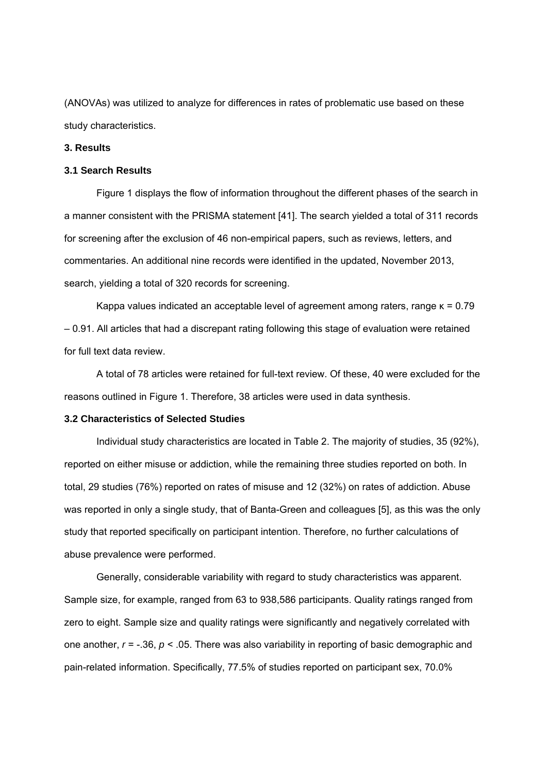(ANOVAs) was utilized to analyze for differences in rates of problematic use based on these study characteristics.

# **3. Results**

### **3.1 Search Results**

 Figure 1 displays the flow of information throughout the different phases of the search in a manner consistent with the PRISMA statement [41]. The search yielded a total of 311 records for screening after the exclusion of 46 non-empirical papers, such as reviews, letters, and commentaries. An additional nine records were identified in the updated, November 2013, search, yielding a total of 320 records for screening.

Kappa values indicated an acceptable level of agreement among raters, range  $\kappa = 0.79$ – 0.91. All articles that had a discrepant rating following this stage of evaluation were retained for full text data review.

A total of 78 articles were retained for full-text review. Of these, 40 were excluded for the reasons outlined in Figure 1. Therefore, 38 articles were used in data synthesis.

# **3.2 Characteristics of Selected Studies**

 Individual study characteristics are located in Table 2. The majority of studies, 35 (92%), reported on either misuse or addiction, while the remaining three studies reported on both. In total, 29 studies (76%) reported on rates of misuse and 12 (32%) on rates of addiction. Abuse was reported in only a single study, that of Banta-Green and colleagues [5], as this was the only study that reported specifically on participant intention. Therefore, no further calculations of abuse prevalence were performed.

 Generally, considerable variability with regard to study characteristics was apparent. Sample size, for example, ranged from 63 to 938,586 participants. Quality ratings ranged from zero to eight. Sample size and quality ratings were significantly and negatively correlated with one another, *r* = -.36, *p* < .05. There was also variability in reporting of basic demographic and pain-related information. Specifically, 77.5% of studies reported on participant sex, 70.0%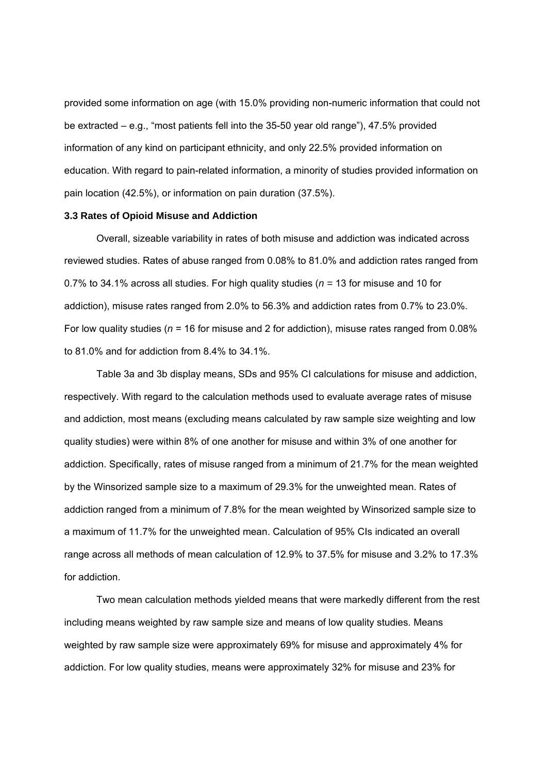provided some information on age (with 15.0% providing non-numeric information that could not be extracted – e.g., "most patients fell into the 35-50 year old range"), 47.5% provided information of any kind on participant ethnicity, and only 22.5% provided information on education. With regard to pain-related information, a minority of studies provided information on pain location (42.5%), or information on pain duration (37.5%).

### **3.3 Rates of Opioid Misuse and Addiction**

 Overall, sizeable variability in rates of both misuse and addiction was indicated across reviewed studies. Rates of abuse ranged from 0.08% to 81.0% and addiction rates ranged from 0.7% to 34.1% across all studies. For high quality studies (*n =* 13 for misuse and 10 for addiction), misuse rates ranged from 2.0% to 56.3% and addiction rates from 0.7% to 23.0%. For low quality studies (*n* = 16 for misuse and 2 for addiction), misuse rates ranged from 0.08% to 81.0% and for addiction from 8.4% to 34.1%.

Table 3a and 3b display means, SDs and 95% CI calculations for misuse and addiction, respectively. With regard to the calculation methods used to evaluate average rates of misuse and addiction, most means (excluding means calculated by raw sample size weighting and low quality studies) were within 8% of one another for misuse and within 3% of one another for addiction. Specifically, rates of misuse ranged from a minimum of 21.7% for the mean weighted by the Winsorized sample size to a maximum of 29.3% for the unweighted mean. Rates of addiction ranged from a minimum of 7.8% for the mean weighted by Winsorized sample size to a maximum of 11.7% for the unweighted mean. Calculation of 95% CIs indicated an overall range across all methods of mean calculation of 12.9% to 37.5% for misuse and 3.2% to 17.3% for addiction.

Two mean calculation methods yielded means that were markedly different from the rest including means weighted by raw sample size and means of low quality studies. Means weighted by raw sample size were approximately 69% for misuse and approximately 4% for addiction. For low quality studies, means were approximately 32% for misuse and 23% for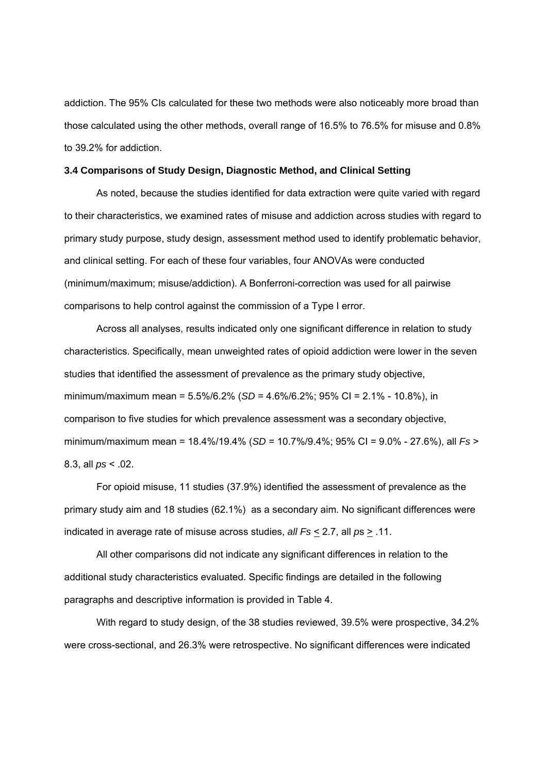addiction. The 95% CIs calculated for these two methods were also noticeably more broad than those calculated using the other methods, overall range of 16.5% to 76.5% for misuse and 0.8% to 39.2% for addiction.

### **3.4 Comparisons of Study Design, Diagnostic Method, and Clinical Setting**

As noted, because the studies identified for data extraction were quite varied with regard to their characteristics, we examined rates of misuse and addiction across studies with regard to primary study purpose, study design, assessment method used to identify problematic behavior, and clinical setting. For each of these four variables, four ANOVAs were conducted (minimum/maximum; misuse/addiction). A Bonferroni-correction was used for all pairwise comparisons to help control against the commission of a Type I error.

Across all analyses, results indicated only one significant difference in relation to study characteristics. Specifically, mean unweighted rates of opioid addiction were lower in the seven studies that identified the assessment of prevalence as the primary study objective, minimum/maximum mean = 5.5%/6.2% (*SD* = 4.6%/6.2%; 95% CI = 2.1% - 10.8%), in comparison to five studies for which prevalence assessment was a secondary objective, minimum/maximum mean = 18.4%/19.4% (*SD* = 10.7%/9.4%; 95% CI = 9.0% - 27.6%), all *Fs* > 8.3, all *ps* < .02.

For opioid misuse, 11 studies (37.9%) identified the assessment of prevalence as the primary study aim and 18 studies (62.1%) as a secondary aim. No significant differences were indicated in average rate of misuse across studies, *all Fs* < 2.7, all *p*s > .11.

All other comparisons did not indicate any significant differences in relation to the additional study characteristics evaluated. Specific findings are detailed in the following paragraphs and descriptive information is provided in Table 4.

 With regard to study design, of the 38 studies reviewed, 39.5% were prospective, 34.2% were cross-sectional, and 26.3% were retrospective. No significant differences were indicated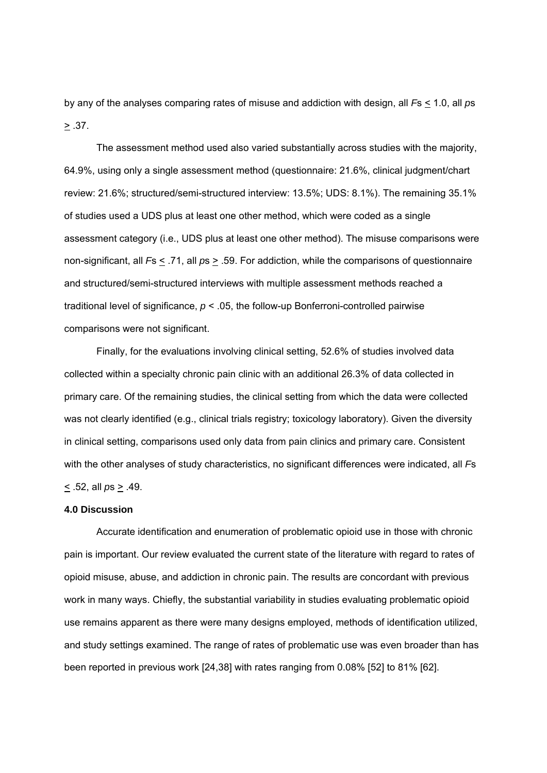by any of the analyses comparing rates of misuse and addiction with design, all *F*s < 1.0, all *p*s  $> .37.$ 

The assessment method used also varied substantially across studies with the majority, 64.9%, using only a single assessment method (questionnaire: 21.6%, clinical judgment/chart review: 21.6%; structured/semi-structured interview: 13.5%; UDS: 8.1%). The remaining 35.1% of studies used a UDS plus at least one other method, which were coded as a single assessment category (i.e., UDS plus at least one other method). The misuse comparisons were non-significant, all *F*s < .71, all *p*s > .59. For addiction, while the comparisons of questionnaire and structured/semi-structured interviews with multiple assessment methods reached a traditional level of significance, *p* < .05, the follow-up Bonferroni-controlled pairwise comparisons were not significant.

 Finally, for the evaluations involving clinical setting, 52.6% of studies involved data collected within a specialty chronic pain clinic with an additional 26.3% of data collected in primary care. Of the remaining studies, the clinical setting from which the data were collected was not clearly identified (e.g., clinical trials registry; toxicology laboratory). Given the diversity in clinical setting, comparisons used only data from pain clinics and primary care. Consistent with the other analyses of study characteristics, no significant differences were indicated, all *F*s < .52, all *p*s > .49.

#### **4.0 Discussion**

 Accurate identification and enumeration of problematic opioid use in those with chronic pain is important. Our review evaluated the current state of the literature with regard to rates of opioid misuse, abuse, and addiction in chronic pain. The results are concordant with previous work in many ways. Chiefly, the substantial variability in studies evaluating problematic opioid use remains apparent as there were many designs employed, methods of identification utilized, and study settings examined. The range of rates of problematic use was even broader than has been reported in previous work [24,38] with rates ranging from 0.08% [52] to 81% [62].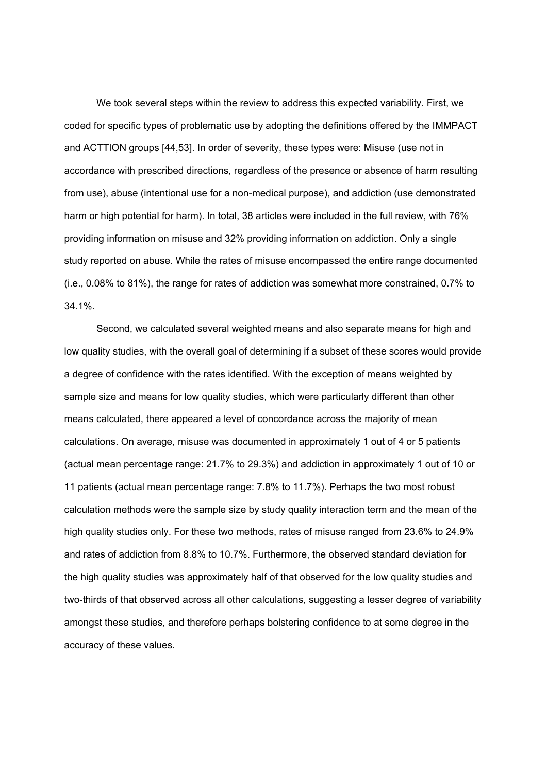We took several steps within the review to address this expected variability. First, we coded for specific types of problematic use by adopting the definitions offered by the IMMPACT and ACTTION groups [44,53]. In order of severity, these types were: Misuse (use not in accordance with prescribed directions, regardless of the presence or absence of harm resulting from use), abuse (intentional use for a non-medical purpose), and addiction (use demonstrated harm or high potential for harm). In total, 38 articles were included in the full review, with 76% providing information on misuse and 32% providing information on addiction. Only a single study reported on abuse. While the rates of misuse encompassed the entire range documented (i.e., 0.08% to 81%), the range for rates of addiction was somewhat more constrained, 0.7% to 34.1%.

 Second, we calculated several weighted means and also separate means for high and low quality studies, with the overall goal of determining if a subset of these scores would provide a degree of confidence with the rates identified. With the exception of means weighted by sample size and means for low quality studies, which were particularly different than other means calculated, there appeared a level of concordance across the majority of mean calculations. On average, misuse was documented in approximately 1 out of 4 or 5 patients (actual mean percentage range: 21.7% to 29.3%) and addiction in approximately 1 out of 10 or 11 patients (actual mean percentage range: 7.8% to 11.7%). Perhaps the two most robust calculation methods were the sample size by study quality interaction term and the mean of the high quality studies only. For these two methods, rates of misuse ranged from 23.6% to 24.9% and rates of addiction from 8.8% to 10.7%. Furthermore, the observed standard deviation for the high quality studies was approximately half of that observed for the low quality studies and two-thirds of that observed across all other calculations, suggesting a lesser degree of variability amongst these studies, and therefore perhaps bolstering confidence to at some degree in the accuracy of these values.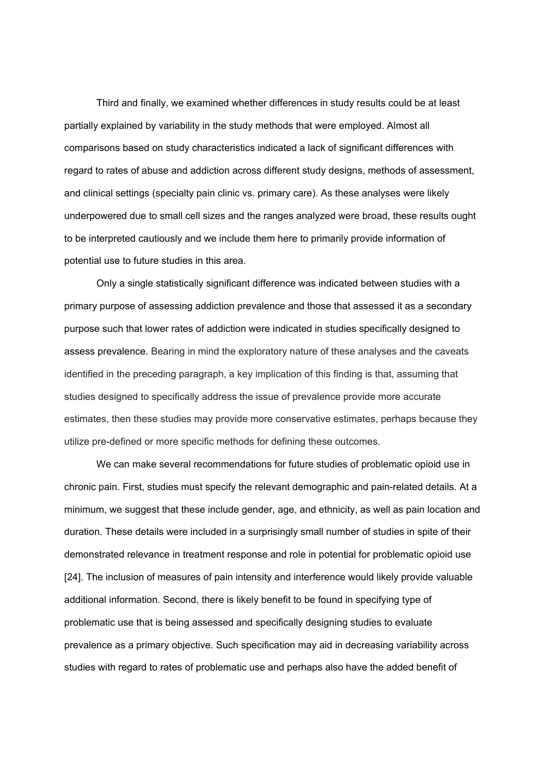Third and finally, we examined whether differences in study results could be at least partially explained by variability in the study methods that were employed. Almost all comparisons based on study characteristics indicated a lack of significant differences with regard to rates of abuse and addiction across different study designs, methods of assessment, and clinical settings (specialty pain clinic vs. primary care). As these analyses were likely underpowered due to small cell sizes and the ranges analyzed were broad, these results ought to be interpreted cautiously and we include them here to primarily provide information of potential use to future studies in this area.

 Only a single statistically significant difference was indicated between studies with a primary purpose of assessing addiction prevalence and those that assessed it as a secondary purpose such that lower rates of addiction were indicated in studies specifically designed to assess prevalence. Bearing in mind the exploratory nature of these analyses and the caveats identified in the preceding paragraph, a key implication of this finding is that, assuming that studies designed to specifically address the issue of prevalence provide more accurate estimates, then these studies may provide more conservative estimates, perhaps because they utilize pre-defined or more specific methods for defining these outcomes.

We can make several recommendations for future studies of problematic opioid use in chronic pain. First, studies must specify the relevant demographic and pain-related details. At a minimum, we suggest that these include gender, age, and ethnicity, as well as pain location and duration. These details were included in a surprisingly small number of studies in spite of their demonstrated relevance in treatment response and role in potential for problematic opioid use [24]. The inclusion of measures of pain intensity and interference would likely provide valuable additional information. Second, there is likely benefit to be found in specifying type of problematic use that is being assessed and specifically designing studies to evaluate prevalence as a primary objective. Such specification may aid in decreasing variability across studies with regard to rates of problematic use and perhaps also have the added benefit of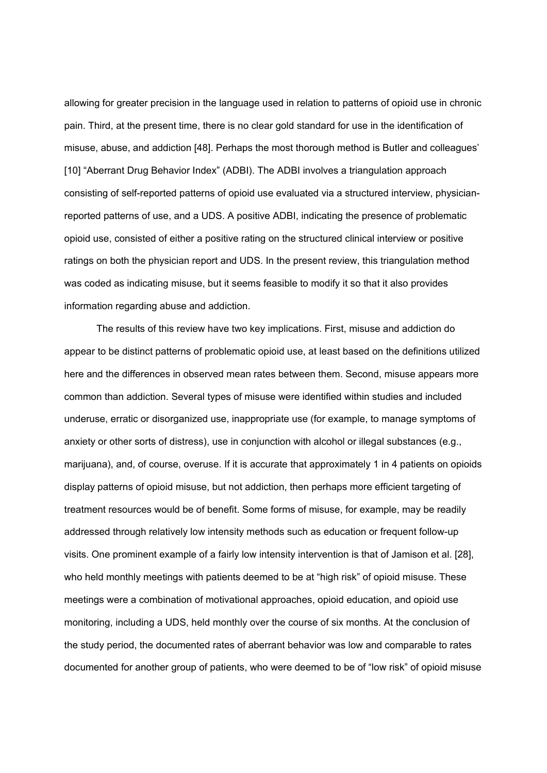allowing for greater precision in the language used in relation to patterns of opioid use in chronic pain. Third, at the present time, there is no clear gold standard for use in the identification of misuse, abuse, and addiction [48]. Perhaps the most thorough method is Butler and colleagues' [10] "Aberrant Drug Behavior Index" (ADBI). The ADBI involves a triangulation approach consisting of self-reported patterns of opioid use evaluated via a structured interview, physicianreported patterns of use, and a UDS. A positive ADBI, indicating the presence of problematic opioid use, consisted of either a positive rating on the structured clinical interview or positive ratings on both the physician report and UDS. In the present review, this triangulation method was coded as indicating misuse, but it seems feasible to modify it so that it also provides information regarding abuse and addiction.

 The results of this review have two key implications. First, misuse and addiction do appear to be distinct patterns of problematic opioid use, at least based on the definitions utilized here and the differences in observed mean rates between them. Second, misuse appears more common than addiction. Several types of misuse were identified within studies and included underuse, erratic or disorganized use, inappropriate use (for example, to manage symptoms of anxiety or other sorts of distress), use in conjunction with alcohol or illegal substances (e.g., marijuana), and, of course, overuse. If it is accurate that approximately 1 in 4 patients on opioids display patterns of opioid misuse, but not addiction, then perhaps more efficient targeting of treatment resources would be of benefit. Some forms of misuse, for example, may be readily addressed through relatively low intensity methods such as education or frequent follow-up visits. One prominent example of a fairly low intensity intervention is that of Jamison et al. [28], who held monthly meetings with patients deemed to be at "high risk" of opioid misuse. These meetings were a combination of motivational approaches, opioid education, and opioid use monitoring, including a UDS, held monthly over the course of six months. At the conclusion of the study period, the documented rates of aberrant behavior was low and comparable to rates documented for another group of patients, who were deemed to be of "low risk" of opioid misuse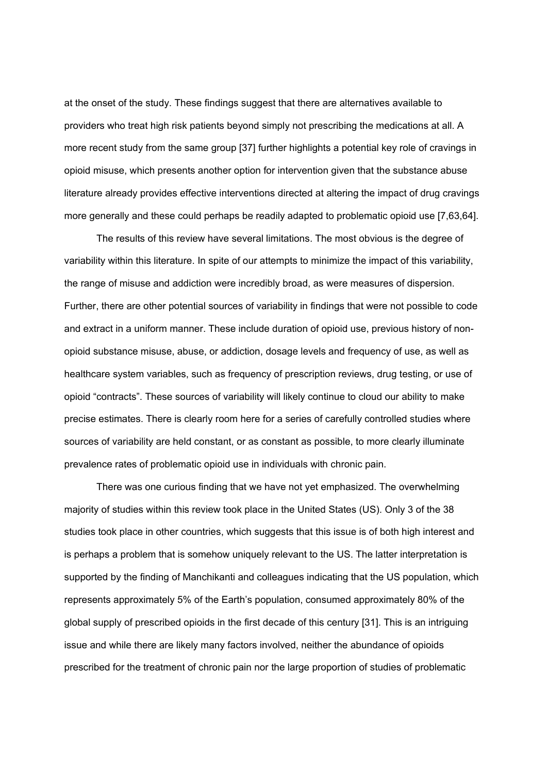at the onset of the study. These findings suggest that there are alternatives available to providers who treat high risk patients beyond simply not prescribing the medications at all. A more recent study from the same group [37] further highlights a potential key role of cravings in opioid misuse, which presents another option for intervention given that the substance abuse literature already provides effective interventions directed at altering the impact of drug cravings more generally and these could perhaps be readily adapted to problematic opioid use [7,63,64].

The results of this review have several limitations. The most obvious is the degree of variability within this literature. In spite of our attempts to minimize the impact of this variability, the range of misuse and addiction were incredibly broad, as were measures of dispersion. Further, there are other potential sources of variability in findings that were not possible to code and extract in a uniform manner. These include duration of opioid use, previous history of nonopioid substance misuse, abuse, or addiction, dosage levels and frequency of use, as well as healthcare system variables, such as frequency of prescription reviews, drug testing, or use of opioid "contracts". These sources of variability will likely continue to cloud our ability to make precise estimates. There is clearly room here for a series of carefully controlled studies where sources of variability are held constant, or as constant as possible, to more clearly illuminate prevalence rates of problematic opioid use in individuals with chronic pain.

There was one curious finding that we have not yet emphasized. The overwhelming majority of studies within this review took place in the United States (US). Only 3 of the 38 studies took place in other countries, which suggests that this issue is of both high interest and is perhaps a problem that is somehow uniquely relevant to the US. The latter interpretation is supported by the finding of Manchikanti and colleagues indicating that the US population, which represents approximately 5% of the Earth's population, consumed approximately 80% of the global supply of prescribed opioids in the first decade of this century [31]. This is an intriguing issue and while there are likely many factors involved, neither the abundance of opioids prescribed for the treatment of chronic pain nor the large proportion of studies of problematic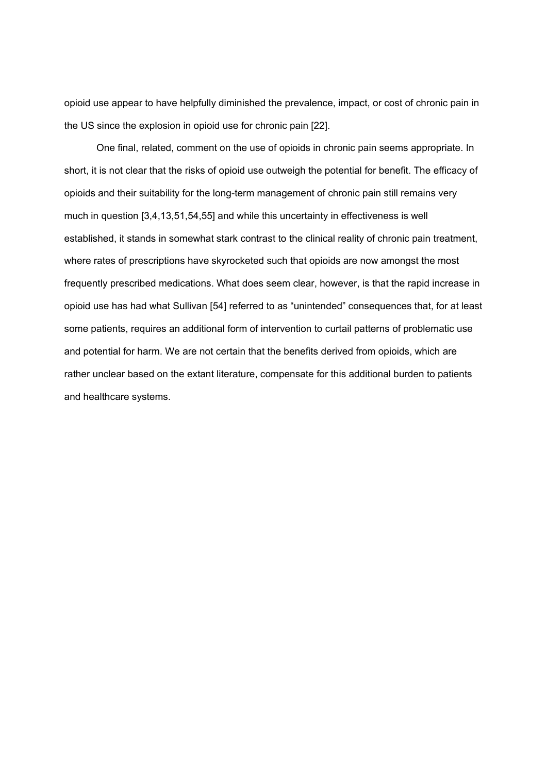opioid use appear to have helpfully diminished the prevalence, impact, or cost of chronic pain in the US since the explosion in opioid use for chronic pain [22].

 One final, related, comment on the use of opioids in chronic pain seems appropriate. In short, it is not clear that the risks of opioid use outweigh the potential for benefit. The efficacy of opioids and their suitability for the long-term management of chronic pain still remains very much in question [3,4,13,51,54,55] and while this uncertainty in effectiveness is well established, it stands in somewhat stark contrast to the clinical reality of chronic pain treatment, where rates of prescriptions have skyrocketed such that opioids are now amongst the most frequently prescribed medications. What does seem clear, however, is that the rapid increase in opioid use has had what Sullivan [54] referred to as "unintended" consequences that, for at least some patients, requires an additional form of intervention to curtail patterns of problematic use and potential for harm. We are not certain that the benefits derived from opioids, which are rather unclear based on the extant literature, compensate for this additional burden to patients and healthcare systems.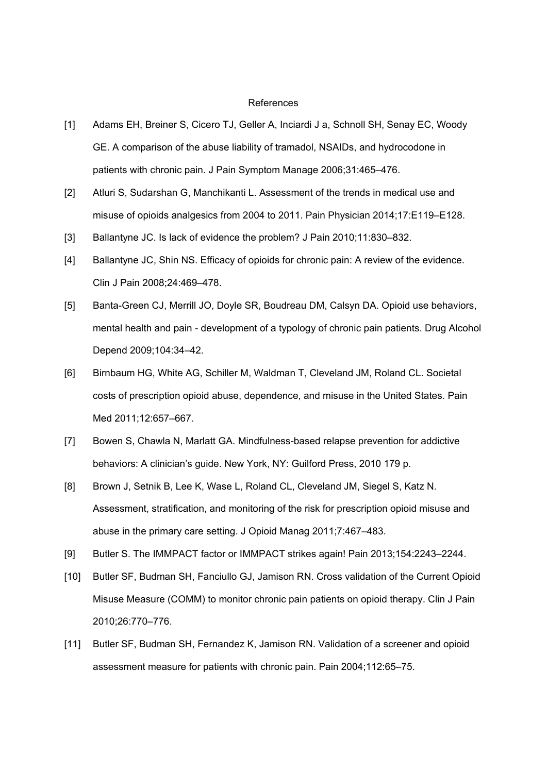#### References

- [1] Adams EH, Breiner S, Cicero TJ, Geller A, Inciardi J a, Schnoll SH, Senay EC, Woody GE. A comparison of the abuse liability of tramadol, NSAIDs, and hydrocodone in patients with chronic pain. J Pain Symptom Manage 2006;31:465–476.
- [2] Atluri S, Sudarshan G, Manchikanti L. Assessment of the trends in medical use and misuse of opioids analgesics from 2004 to 2011. Pain Physician 2014;17:E119–E128.
- [3] Ballantyne JC. Is lack of evidence the problem? J Pain 2010;11:830-832.
- [4] Ballantyne JC, Shin NS. Efficacy of opioids for chronic pain: A review of the evidence. Clin J Pain 2008;24:469–478.
- [5] Banta-Green CJ, Merrill JO, Doyle SR, Boudreau DM, Calsyn DA. Opioid use behaviors, mental health and pain - development of a typology of chronic pain patients. Drug Alcohol Depend 2009;104:34–42.
- [6] Birnbaum HG, White AG, Schiller M, Waldman T, Cleveland JM, Roland CL. Societal costs of prescription opioid abuse, dependence, and misuse in the United States. Pain Med 2011;12:657–667.
- [7] Bowen S, Chawla N, Marlatt GA. Mindfulness-based relapse prevention for addictive behaviors: A clinician's guide. New York, NY: Guilford Press, 2010 179 p.
- [8] Brown J, Setnik B, Lee K, Wase L, Roland CL, Cleveland JM, Siegel S, Katz N. Assessment, stratification, and monitoring of the risk for prescription opioid misuse and abuse in the primary care setting. J Opioid Manag 2011;7:467–483.
- [9] Butler S. The IMMPACT factor or IMMPACT strikes again! Pain 2013;154:2243–2244.
- [10] Butler SF, Budman SH, Fanciullo GJ, Jamison RN. Cross validation of the Current Opioid Misuse Measure (COMM) to monitor chronic pain patients on opioid therapy. Clin J Pain 2010;26:770–776.
- [11] Butler SF, Budman SH, Fernandez K, Jamison RN. Validation of a screener and opioid assessment measure for patients with chronic pain. Pain 2004;112:65–75.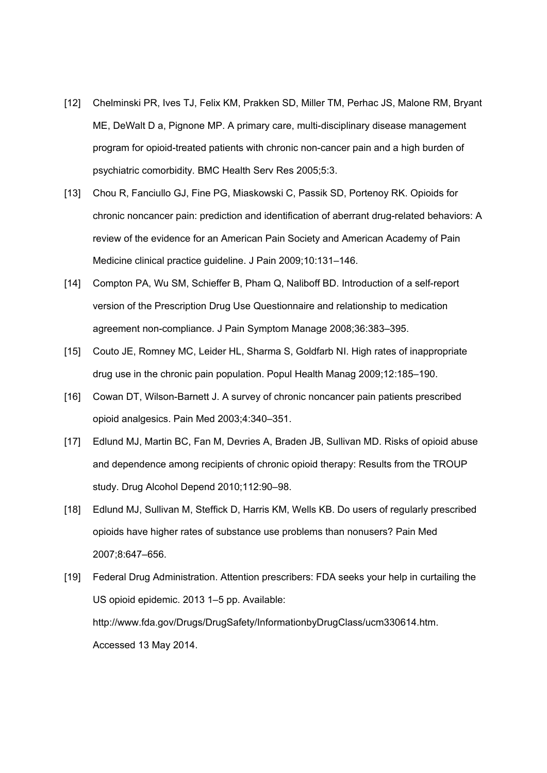- [12] Chelminski PR, Ives TJ, Felix KM, Prakken SD, Miller TM, Perhac JS, Malone RM, Bryant ME, DeWalt D a, Pignone MP. A primary care, multi-disciplinary disease management program for opioid-treated patients with chronic non-cancer pain and a high burden of psychiatric comorbidity. BMC Health Serv Res 2005;5:3.
- [13] Chou R, Fanciullo GJ, Fine PG, Miaskowski C, Passik SD, Portenoy RK. Opioids for chronic noncancer pain: prediction and identification of aberrant drug-related behaviors: A review of the evidence for an American Pain Society and American Academy of Pain Medicine clinical practice guideline. J Pain 2009;10:131–146.
- [14] Compton PA, Wu SM, Schieffer B, Pham Q, Naliboff BD. Introduction of a self-report version of the Prescription Drug Use Questionnaire and relationship to medication agreement non-compliance. J Pain Symptom Manage 2008;36:383–395.
- [15] Couto JE, Romney MC, Leider HL, Sharma S, Goldfarb NI. High rates of inappropriate drug use in the chronic pain population. Popul Health Manag 2009;12:185–190.
- [16] Cowan DT, Wilson-Barnett J. A survey of chronic noncancer pain patients prescribed opioid analgesics. Pain Med 2003;4:340–351.
- [17] Edlund MJ, Martin BC, Fan M, Devries A, Braden JB, Sullivan MD. Risks of opioid abuse and dependence among recipients of chronic opioid therapy: Results from the TROUP study. Drug Alcohol Depend 2010;112:90–98.
- [18] Edlund MJ, Sullivan M, Steffick D, Harris KM, Wells KB. Do users of regularly prescribed opioids have higher rates of substance use problems than nonusers? Pain Med 2007;8:647–656.
- [19] Federal Drug Administration. Attention prescribers: FDA seeks your help in curtailing the US opioid epidemic. 2013 1–5 pp. Available: http://www.fda.gov/Drugs/DrugSafety/InformationbyDrugClass/ucm330614.htm. Accessed 13 May 2014.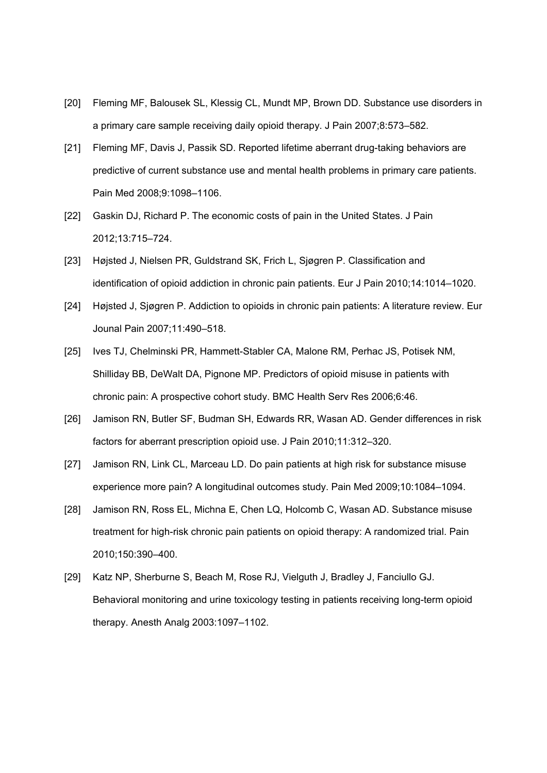- [20] Fleming MF, Balousek SL, Klessig CL, Mundt MP, Brown DD. Substance use disorders in a primary care sample receiving daily opioid therapy. J Pain 2007;8:573–582.
- [21] Fleming MF, Davis J, Passik SD. Reported lifetime aberrant drug-taking behaviors are predictive of current substance use and mental health problems in primary care patients. Pain Med 2008;9:1098–1106.
- [22] Gaskin DJ, Richard P. The economic costs of pain in the United States. J Pain 2012;13:715–724.
- [23] Højsted J, Nielsen PR, Guldstrand SK, Frich L, Sjøgren P. Classification and identification of opioid addiction in chronic pain patients. Eur J Pain 2010;14:1014–1020.
- [24] Højsted J, Sjøgren P. Addiction to opioids in chronic pain patients: A literature review. Eur Jounal Pain 2007;11:490–518.
- [25] Ives TJ, Chelminski PR, Hammett-Stabler CA, Malone RM, Perhac JS, Potisek NM, Shilliday BB, DeWalt DA, Pignone MP. Predictors of opioid misuse in patients with chronic pain: A prospective cohort study. BMC Health Serv Res 2006;6:46.
- [26] Jamison RN, Butler SF, Budman SH, Edwards RR, Wasan AD. Gender differences in risk factors for aberrant prescription opioid use. J Pain 2010;11:312–320.
- [27] Jamison RN, Link CL, Marceau LD. Do pain patients at high risk for substance misuse experience more pain? A longitudinal outcomes study. Pain Med 2009;10:1084–1094.
- [28] Jamison RN, Ross EL, Michna E, Chen LQ, Holcomb C, Wasan AD. Substance misuse treatment for high-risk chronic pain patients on opioid therapy: A randomized trial. Pain 2010;150:390–400.
- [29] Katz NP, Sherburne S, Beach M, Rose RJ, Vielguth J, Bradley J, Fanciullo GJ. Behavioral monitoring and urine toxicology testing in patients receiving long-term opioid therapy. Anesth Analg 2003:1097–1102.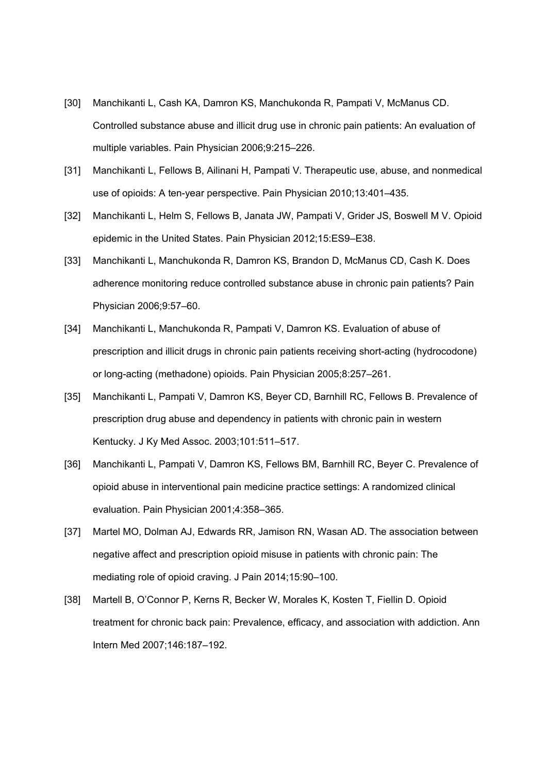- [30] Manchikanti L, Cash KA, Damron KS, Manchukonda R, Pampati V, McManus CD. Controlled substance abuse and illicit drug use in chronic pain patients: An evaluation of multiple variables. Pain Physician 2006;9:215–226.
- [31] Manchikanti L, Fellows B, Ailinani H, Pampati V. Therapeutic use, abuse, and nonmedical use of opioids: A ten-year perspective. Pain Physician 2010;13:401–435.
- [32] Manchikanti L, Helm S, Fellows B, Janata JW, Pampati V, Grider JS, Boswell M V. Opioid epidemic in the United States. Pain Physician 2012;15:ES9–E38.
- [33] Manchikanti L, Manchukonda R, Damron KS, Brandon D, McManus CD, Cash K. Does adherence monitoring reduce controlled substance abuse in chronic pain patients? Pain Physician 2006;9:57–60.
- [34] Manchikanti L, Manchukonda R, Pampati V, Damron KS. Evaluation of abuse of prescription and illicit drugs in chronic pain patients receiving short-acting (hydrocodone) or long-acting (methadone) opioids. Pain Physician 2005;8:257–261.
- [35] Manchikanti L, Pampati V, Damron KS, Beyer CD, Barnhill RC, Fellows B. Prevalence of prescription drug abuse and dependency in patients with chronic pain in western Kentucky. J Ky Med Assoc. 2003;101:511–517.
- [36] Manchikanti L, Pampati V, Damron KS, Fellows BM, Barnhill RC, Beyer C. Prevalence of opioid abuse in interventional pain medicine practice settings: A randomized clinical evaluation. Pain Physician 2001;4:358–365.
- [37] Martel MO, Dolman AJ, Edwards RR, Jamison RN, Wasan AD. The association between negative affect and prescription opioid misuse in patients with chronic pain: The mediating role of opioid craving. J Pain 2014;15:90–100.
- [38] Martell B, O'Connor P, Kerns R, Becker W, Morales K, Kosten T, Fiellin D. Opioid treatment for chronic back pain: Prevalence, efficacy, and association with addiction. Ann Intern Med 2007;146:187–192.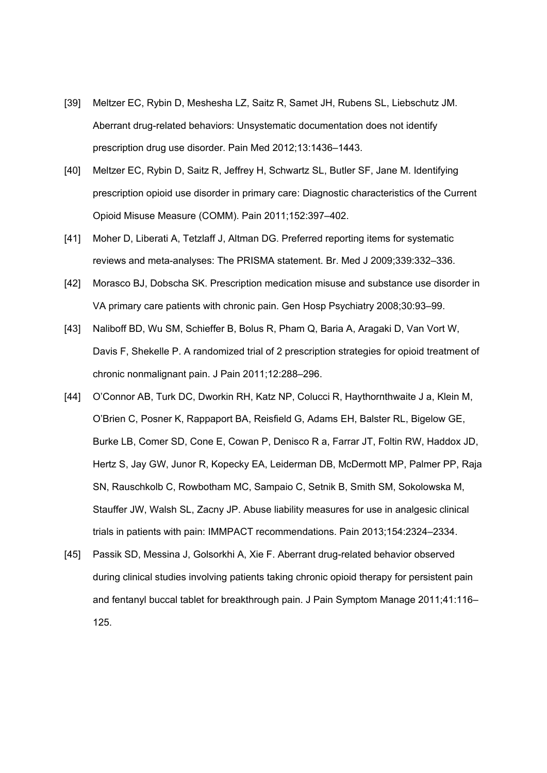- [39] Meltzer EC, Rybin D, Meshesha LZ, Saitz R, Samet JH, Rubens SL, Liebschutz JM. Aberrant drug-related behaviors: Unsystematic documentation does not identify prescription drug use disorder. Pain Med 2012;13:1436–1443.
- [40] Meltzer EC, Rybin D, Saitz R, Jeffrey H, Schwartz SL, Butler SF, Jane M. Identifying prescription opioid use disorder in primary care: Diagnostic characteristics of the Current Opioid Misuse Measure (COMM). Pain 2011;152:397–402.
- [41] Moher D, Liberati A, Tetzlaff J, Altman DG. Preferred reporting items for systematic reviews and meta-analyses: The PRISMA statement. Br. Med J 2009;339:332–336.
- [42] Morasco BJ, Dobscha SK. Prescription medication misuse and substance use disorder in VA primary care patients with chronic pain. Gen Hosp Psychiatry 2008;30:93–99.
- [43] Naliboff BD, Wu SM, Schieffer B, Bolus R, Pham Q, Baria A, Aragaki D, Van Vort W, Davis F, Shekelle P. A randomized trial of 2 prescription strategies for opioid treatment of chronic nonmalignant pain. J Pain 2011;12:288–296.
- [44] O'Connor AB, Turk DC, Dworkin RH, Katz NP, Colucci R, Haythornthwaite J a, Klein M, O'Brien C, Posner K, Rappaport BA, Reisfield G, Adams EH, Balster RL, Bigelow GE, Burke LB, Comer SD, Cone E, Cowan P, Denisco R a, Farrar JT, Foltin RW, Haddox JD, Hertz S, Jay GW, Junor R, Kopecky EA, Leiderman DB, McDermott MP, Palmer PP, Raja SN, Rauschkolb C, Rowbotham MC, Sampaio C, Setnik B, Smith SM, Sokolowska M, Stauffer JW, Walsh SL, Zacny JP. Abuse liability measures for use in analgesic clinical trials in patients with pain: IMMPACT recommendations. Pain 2013;154:2324–2334.
- [45] Passik SD, Messina J, Golsorkhi A, Xie F. Aberrant drug-related behavior observed during clinical studies involving patients taking chronic opioid therapy for persistent pain and fentanyl buccal tablet for breakthrough pain. J Pain Symptom Manage 2011;41:116– 125.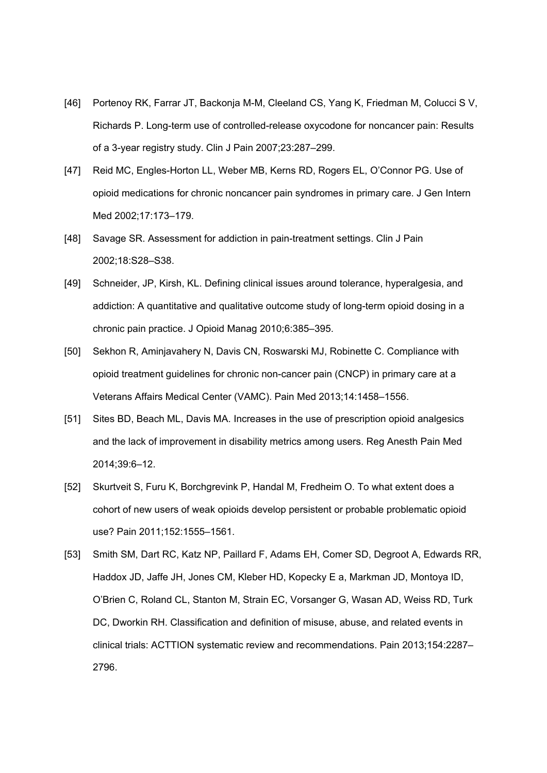- [46] Portenoy RK, Farrar JT, Backonja M-M, Cleeland CS, Yang K, Friedman M, Colucci S V, Richards P. Long-term use of controlled-release oxycodone for noncancer pain: Results of a 3-year registry study. Clin J Pain 2007;23:287–299.
- [47] Reid MC, Engles-Horton LL, Weber MB, Kerns RD, Rogers EL, O'Connor PG. Use of opioid medications for chronic noncancer pain syndromes in primary care. J Gen Intern Med 2002;17:173–179.
- [48] Savage SR. Assessment for addiction in pain-treatment settings. Clin J Pain 2002;18:S28–S38.
- [49] Schneider, JP, Kirsh, KL. Defining clinical issues around tolerance, hyperalgesia, and addiction: A quantitative and qualitative outcome study of long-term opioid dosing in a chronic pain practice. J Opioid Manag 2010;6:385–395.
- [50] Sekhon R, Aminjavahery N, Davis CN, Roswarski MJ, Robinette C. Compliance with opioid treatment guidelines for chronic non-cancer pain (CNCP) in primary care at a Veterans Affairs Medical Center (VAMC). Pain Med 2013;14:1458–1556.
- [51] Sites BD, Beach ML, Davis MA. Increases in the use of prescription opioid analgesics and the lack of improvement in disability metrics among users. Reg Anesth Pain Med 2014;39:6–12.
- [52] Skurtveit S, Furu K, Borchgrevink P, Handal M, Fredheim O. To what extent does a cohort of new users of weak opioids develop persistent or probable problematic opioid use? Pain 2011;152:1555–1561.
- [53] Smith SM, Dart RC, Katz NP, Paillard F, Adams EH, Comer SD, Degroot A, Edwards RR, Haddox JD, Jaffe JH, Jones CM, Kleber HD, Kopecky E a, Markman JD, Montoya ID, O'Brien C, Roland CL, Stanton M, Strain EC, Vorsanger G, Wasan AD, Weiss RD, Turk DC, Dworkin RH. Classification and definition of misuse, abuse, and related events in clinical trials: ACTTION systematic review and recommendations. Pain 2013;154:2287– 2796.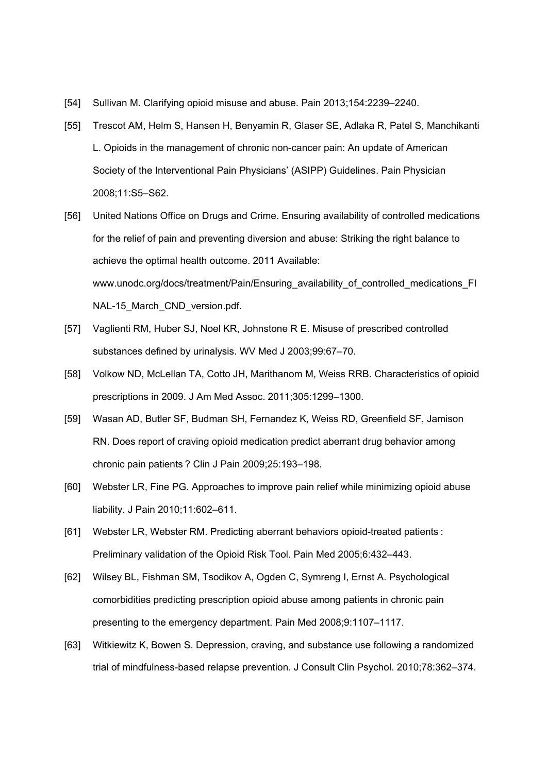- [54] Sullivan M. Clarifying opioid misuse and abuse. Pain 2013;154:2239–2240.
- [55] Trescot AM, Helm S, Hansen H, Benyamin R, Glaser SE, Adlaka R, Patel S, Manchikanti L. Opioids in the management of chronic non-cancer pain: An update of American Society of the Interventional Pain Physicians' (ASIPP) Guidelines. Pain Physician 2008;11:S5–S62.
- [56] United Nations Office on Drugs and Crime. Ensuring availability of controlled medications for the relief of pain and preventing diversion and abuse: Striking the right balance to achieve the optimal health outcome. 2011 Available: www.unodc.org/docs/treatment/Pain/Ensuring\_availability\_of\_controlled\_medications\_FI NAL-15 March CND version.pdf.
- [57] Vaglienti RM, Huber SJ, Noel KR, Johnstone R E. Misuse of prescribed controlled substances defined by urinalysis. WV Med J 2003;99:67–70.
- [58] Volkow ND, McLellan TA, Cotto JH, Marithanom M, Weiss RRB. Characteristics of opioid prescriptions in 2009. J Am Med Assoc. 2011;305:1299–1300.
- [59] Wasan AD, Butler SF, Budman SH, Fernandez K, Weiss RD, Greenfield SF, Jamison RN. Does report of craving opioid medication predict aberrant drug behavior among chronic pain patients ? Clin J Pain 2009;25:193–198.
- [60] Webster LR, Fine PG. Approaches to improve pain relief while minimizing opioid abuse liability. J Pain 2010;11:602–611.
- [61] Webster LR, Webster RM. Predicting aberrant behaviors opioid-treated patients : Preliminary validation of the Opioid Risk Tool. Pain Med 2005;6:432–443.
- [62] Wilsey BL, Fishman SM, Tsodikov A, Ogden C, Symreng I, Ernst A. Psychological comorbidities predicting prescription opioid abuse among patients in chronic pain presenting to the emergency department. Pain Med 2008;9:1107–1117.
- [63] Witkiewitz K, Bowen S. Depression, craving, and substance use following a randomized trial of mindfulness-based relapse prevention. J Consult Clin Psychol. 2010;78:362–374.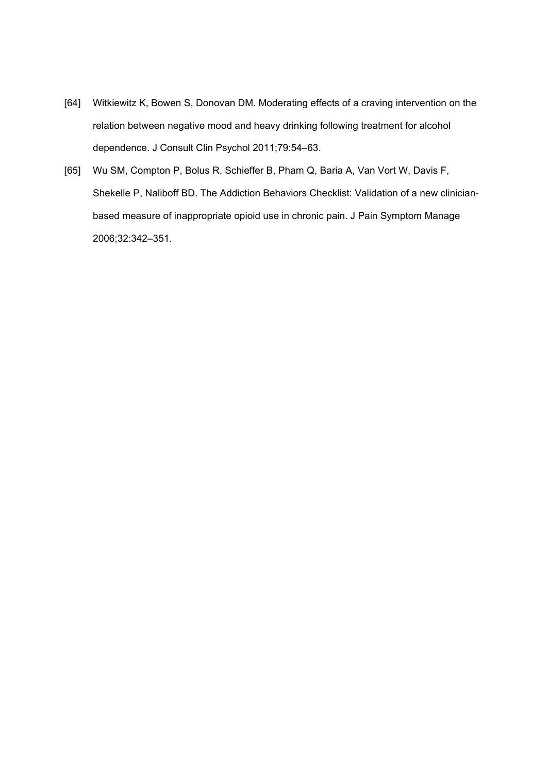- [64] Witkiewitz K, Bowen S, Donovan DM. Moderating effects of a craving intervention on the relation between negative mood and heavy drinking following treatment for alcohol dependence. J Consult Clin Psychol 2011;79:54–63.
- [65] Wu SM, Compton P, Bolus R, Schieffer B, Pham Q, Baria A, Van Vort W, Davis F, Shekelle P, Naliboff BD. The Addiction Behaviors Checklist: Validation of a new clinicianbased measure of inappropriate opioid use in chronic pain. J Pain Symptom Manage 2006;32:342–351.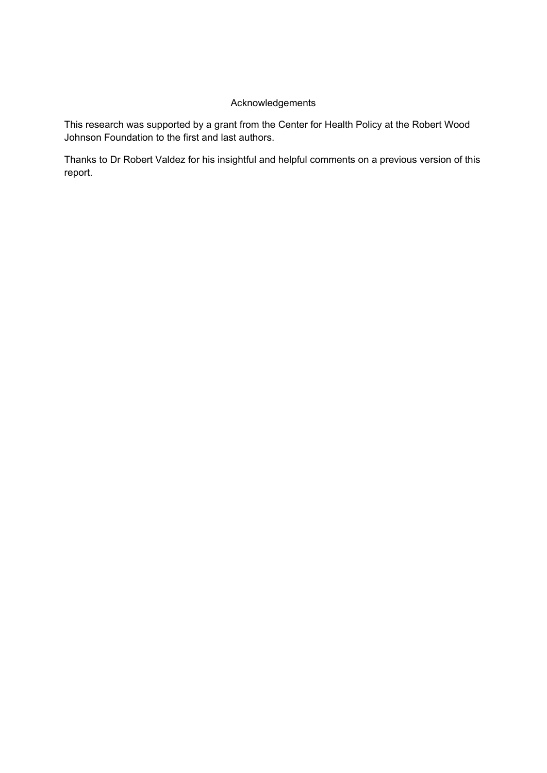# Acknowledgements

This research was supported by a grant from the Center for Health Policy at the Robert Wood Johnson Foundation to the first and last authors.

Thanks to Dr Robert Valdez for his insightful and helpful comments on a previous version of this report.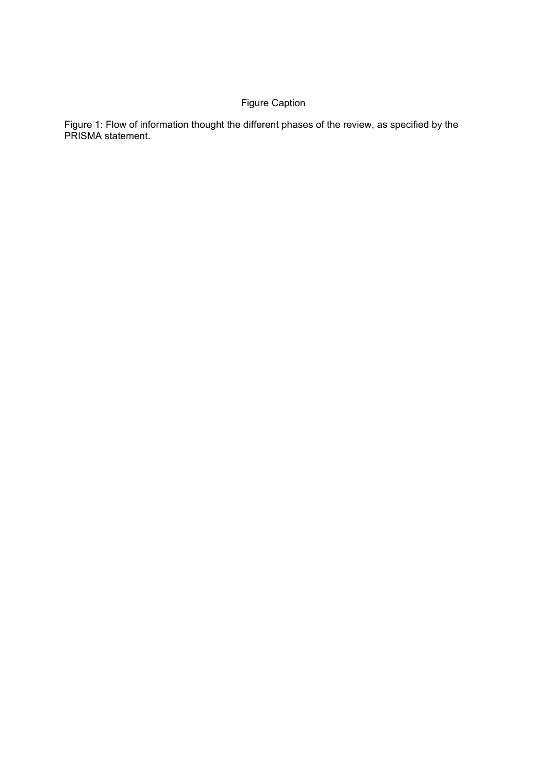# Figure Caption

Figure 1: Flow of information thought the different phases of the review, as specified by the PRISMA statement.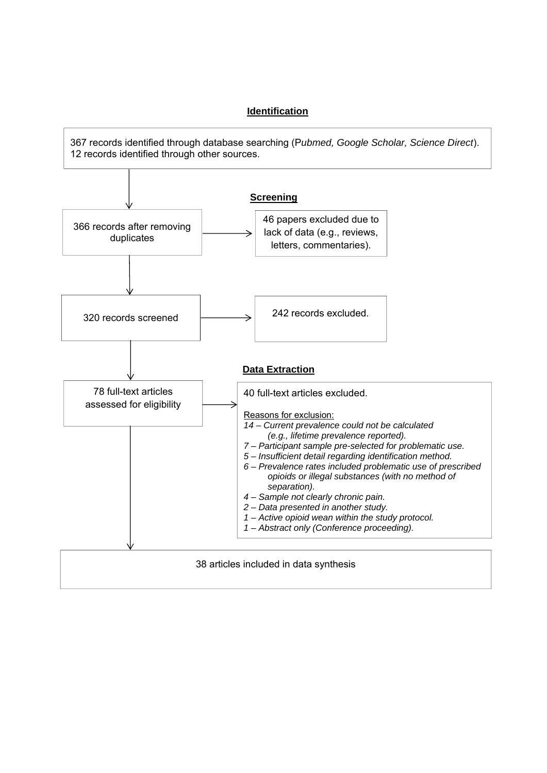# **Identification**

367 records identified through database searching (P*ubmed, Google Scholar, Science Direct*). 12 records identified through other sources.

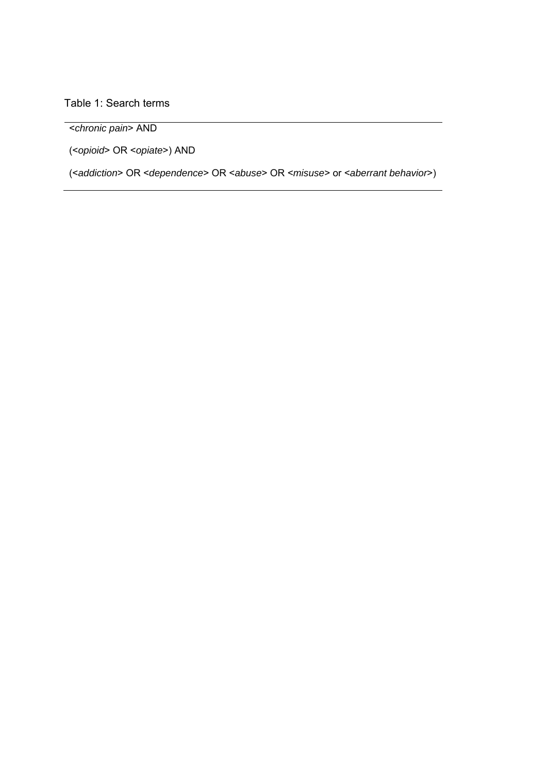Table 1: Search terms

<*chronic pain*> AND

(<*opioid*> OR <*opiate*>) AND

(<*addiction*> OR <*dependence*> OR <*abuse*> OR <*misuse*> or <*aberrant behavior*>)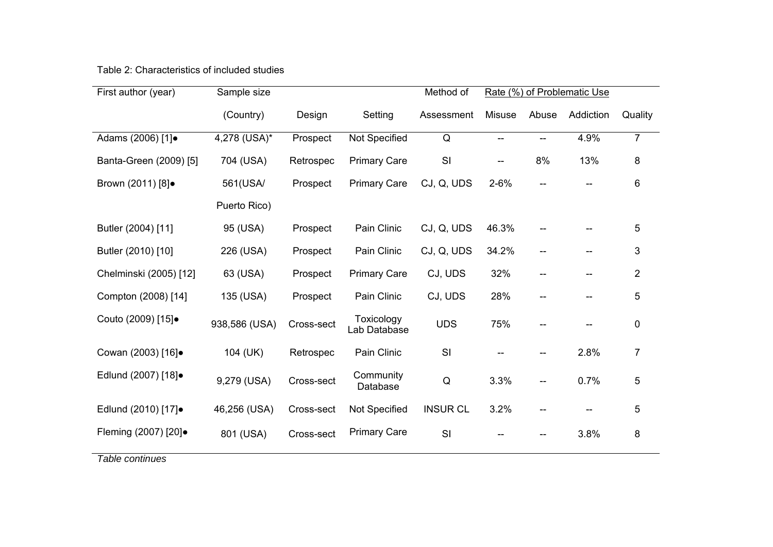#### Table 2: Characteristics of included studies

| First author (year)           | Sample size   |            |                            | Method of       | Rate (%) of Problematic Use |       |           |                |
|-------------------------------|---------------|------------|----------------------------|-----------------|-----------------------------|-------|-----------|----------------|
|                               | (Country)     | Design     | Setting                    | Assessment      | <b>Misuse</b>               | Abuse | Addiction | Quality        |
| Adams (2006) [1] $\bullet$    | 4,278 (USA)*  | Prospect   | Not Specified              | Q               | --                          |       | 4.9%      | $\overline{7}$ |
| Banta-Green (2009) [5]        | 704 (USA)     | Retrospec  | <b>Primary Care</b>        | SI              | --                          | 8%    | 13%       | 8              |
| Brown (2011) [8] $\bullet$    | 561(USA/      | Prospect   | <b>Primary Care</b>        | CJ, Q, UDS      | $2 - 6%$                    |       |           | 6              |
|                               | Puerto Rico)  |            |                            |                 |                             |       |           |                |
| Butler (2004) [11]            | 95 (USA)      | Prospect   | Pain Clinic                | CJ, Q, UDS      | 46.3%                       |       |           | 5              |
| Butler (2010) [10]            | 226 (USA)     | Prospect   | Pain Clinic                | CJ, Q, UDS      | 34.2%                       |       |           | 3              |
| Chelminski (2005) [12]        | 63 (USA)      | Prospect   | <b>Primary Care</b>        | CJ, UDS         | 32%                         |       |           | $\overline{2}$ |
| Compton (2008) [14]           | 135 (USA)     | Prospect   | Pain Clinic                | CJ, UDS         | 28%                         |       |           | 5              |
| Couto (2009) [15].            | 938,586 (USA) | Cross-sect | Toxicology<br>Lab Database | <b>UDS</b>      | 75%                         |       |           | 0              |
| Cowan (2003) [16].            | 104 (UK)      | Retrospec  | Pain Clinic                | SI              |                             |       | 2.8%      | 7              |
| Edlund (2007) [18] $\bullet$  | 9,279 (USA)   | Cross-sect | Community<br>Database      | $\mathsf Q$     | 3.3%                        |       | 0.7%      | 5              |
| Edlund (2010) [17].           | 46,256 (USA)  | Cross-sect | Not Specified              | <b>INSUR CL</b> | 3.2%                        |       |           | 5              |
| Fleming (2007) [20] $\bullet$ | 801 (USA)     | Cross-sect | <b>Primary Care</b>        | SI              |                             |       | 3.8%      | 8              |

*Table continues*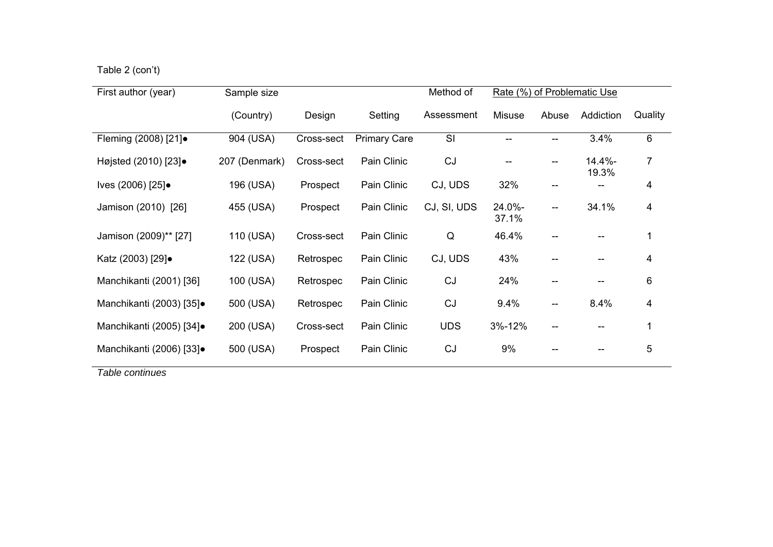| Table 2 (con't) |  |  |
|-----------------|--|--|
|-----------------|--|--|

| First author (year)      | Sample size   |            |                     | Method of   |                 |       | Rate (%) of Problematic Use |         |
|--------------------------|---------------|------------|---------------------|-------------|-----------------|-------|-----------------------------|---------|
|                          | (Country)     | Design     | Setting             | Assessment  | <b>Misuse</b>   | Abuse | Addiction                   | Quality |
| Fleming (2008) [21].     | 904 (USA)     | Cross-sect | <b>Primary Care</b> | SI          |                 |       | 3.4%                        | 6       |
| Højsted (2010) [23]●     | 207 (Denmark) | Cross-sect | Pain Clinic         | CJ          |                 | --    | 14.4%-<br>19.3%             | 7       |
| Ives (2006) [25]●        | 196 (USA)     | Prospect   | Pain Clinic         | CJ, UDS     | 32%             | --    |                             | 4       |
| Jamison (2010) [26]      | 455 (USA)     | Prospect   | Pain Clinic         | CJ, SI, UDS | 24.0%-<br>37.1% | --    | 34.1%                       | 4       |
| Jamison (2009)** [27]    | 110 (USA)     | Cross-sect | Pain Clinic         | Q           | 46.4%           |       |                             | 1       |
| Katz (2003) [29].        | 122 (USA)     | Retrospec  | Pain Clinic         | CJ, UDS     | 43%             |       |                             | 4       |
| Manchikanti (2001) [36]  | 100 (USA)     | Retrospec  | Pain Clinic         | <b>CJ</b>   | 24%             |       |                             | 6       |
| Manchikanti (2003) [35]. | 500 (USA)     | Retrospec  | Pain Clinic         | CJ          | 9.4%            | --    | 8.4%                        | 4       |
| Manchikanti (2005) [34]. | 200 (USA)     | Cross-sect | Pain Clinic         | <b>UDS</b>  | 3%-12%          |       |                             | 1       |
| Manchikanti (2006) [33]• | 500 (USA)     | Prospect   | Pain Clinic         | CJ          | 9%              |       |                             | 5       |

*Table continues*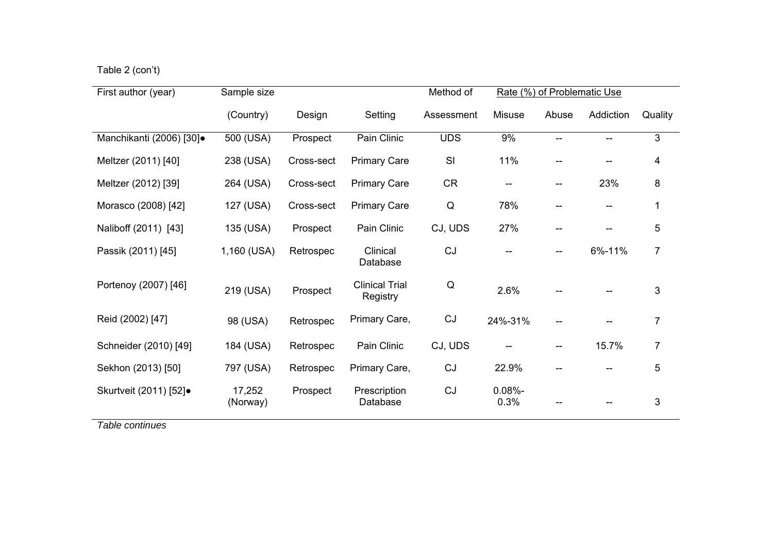| Table 2 (con't) |  |  |
|-----------------|--|--|
|-----------------|--|--|

| First author (year)      | Sample size        |            |                                   | Method of  | Rate (%) of Problematic Use |       |                          |                |
|--------------------------|--------------------|------------|-----------------------------------|------------|-----------------------------|-------|--------------------------|----------------|
|                          | (Country)          | Design     | Setting                           | Assessment | Misuse                      | Abuse | Addiction                | Quality        |
| Manchikanti (2006) [30]. | 500 (USA)          | Prospect   | Pain Clinic                       | <b>UDS</b> | 9%                          | $- -$ | --                       | 3              |
| Meltzer (2011) [40]      | 238 (USA)          | Cross-sect | <b>Primary Care</b>               | SI         | 11%                         | --    |                          | 4              |
| Meltzer (2012) [39]      | 264 (USA)          | Cross-sect | <b>Primary Care</b>               | <b>CR</b>  |                             |       | 23%                      | 8              |
| Morasco (2008) [42]      | 127 (USA)          | Cross-sect | <b>Primary Care</b>               | Q          | 78%                         | --    | $\overline{\phantom{a}}$ | 1              |
| Naliboff (2011) [43]     | 135 (USA)          | Prospect   | Pain Clinic                       | CJ, UDS    | 27%                         | --    |                          | 5              |
| Passik (2011) [45]       | 1,160 (USA)        | Retrospec  | Clinical<br>Database              | CJ         |                             | --    | 6%-11%                   | $\overline{7}$ |
| Portenoy (2007) [46]     | 219 (USA)          | Prospect   | <b>Clinical Trial</b><br>Registry | Q          | 2.6%                        |       |                          | 3              |
| Reid (2002) [47]         | 98 (USA)           | Retrospec  | Primary Care,                     | <b>CJ</b>  | 24%-31%                     | --    |                          | 7              |
| Schneider (2010) [49]    | 184 (USA)          | Retrospec  | Pain Clinic                       | CJ, UDS    |                             | --    | 15.7%                    | 7              |
| Sekhon (2013) [50]       | 797 (USA)          | Retrospec  | Primary Care,                     | CJ         | 22.9%                       |       |                          | 5              |
| Skurtveit (2011) [52]●   | 17,252<br>(Norway) | Prospect   | Prescription<br>Database          | CJ         | $0.08% -$<br>0.3%           |       |                          | 3              |

*Table continues*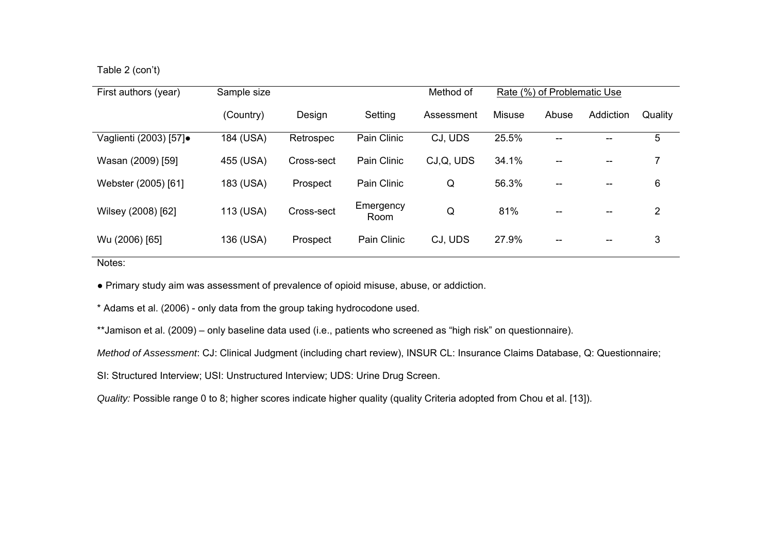# Table 2 (con't)

| First authors (year)   | Sample size |            |                   | Method of  | Rate (%) of Problematic Use |                                       |                          |         |
|------------------------|-------------|------------|-------------------|------------|-----------------------------|---------------------------------------|--------------------------|---------|
|                        | (Country)   | Design     | Setting           | Assessment | <b>Misuse</b>               | Abuse                                 | Addiction                | Quality |
| Vaglienti (2003) [57]● | 184 (USA)   | Retrospec  | Pain Clinic       | CJ, UDS    | 25.5%                       | $\overline{\phantom{m}}$              | --                       | 5       |
| Wasan (2009) [59]      | 455 (USA)   | Cross-sect | Pain Clinic       | CJ, Q, UDS | 34.1%                       | --                                    | $\overline{\phantom{m}}$ | 7       |
| Webster (2005) [61]    | 183 (USA)   | Prospect   | Pain Clinic       | Q          | 56.3%                       | $\hspace{0.05cm}$ – $\hspace{0.05cm}$ | --                       | 6       |
| Wilsey (2008) [62]     | 113 (USA)   | Cross-sect | Emergency<br>Room | Q          | 81%                         | $\hspace{0.05cm}$ – $\hspace{0.05cm}$ | $\overline{\phantom{m}}$ | 2       |
| Wu (2006) [65]         | 136 (USA)   | Prospect   | Pain Clinic       | CJ, UDS    | 27.9%                       | $\overline{\phantom{m}}$              | $\overline{\phantom{m}}$ | 3       |

Notes:

● Primary study aim was assessment of prevalence of opioid misuse, abuse, or addiction.

\* Adams et al. (2006) - only data from the group taking hydrocodone used.

\*\*Jamison et al. (2009) – only baseline data used (i.e., patients who screened as "high risk" on questionnaire).

*Method of Assessment*: CJ: Clinical Judgment (including chart review), INSUR CL: Insurance Claims Database, Q: Questionnaire;

SI: Structured Interview; USI: Unstructured Interview; UDS: Urine Drug Screen.

*Quality:* Possible range 0 to 8; higher scores indicate higher quality (quality Criteria adopted from Chou et al. [13]).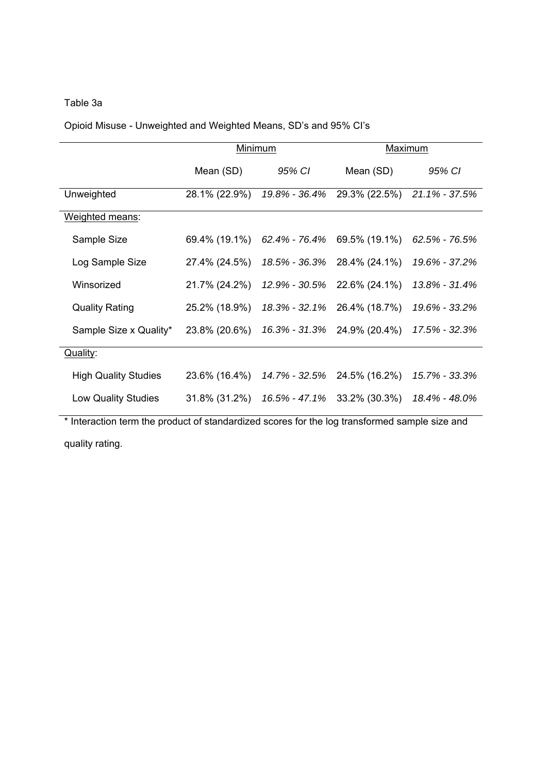# Table 3a

Opioid Misuse - Unweighted and Weighted Means, SD's and 95% CI's

|                             | Minimum       |               | Maximum                            |                   |  |
|-----------------------------|---------------|---------------|------------------------------------|-------------------|--|
|                             | Mean (SD)     | 95% CI        | Mean (SD)                          | 95% CI            |  |
| Unweighted                  | 28.1% (22.9%) | 19.8% - 36.4% | 29.3% (22.5%)                      | $21.1\% - 37.5\%$ |  |
| Weighted means:             |               |               |                                    |                   |  |
| Sample Size                 | 69.4% (19.1%) | 62.4% - 76.4% | 69.5% (19.1%)                      | 62.5% - 76.5%     |  |
| Log Sample Size             | 27.4% (24.5%) | 18.5% - 36.3% | 28.4% (24.1%)                      | 19.6% - 37.2%     |  |
| Winsorized                  | 21.7% (24.2%) | 12.9% - 30.5% | 22.6% (24.1%)                      | 13.8% - 31.4%     |  |
| <b>Quality Rating</b>       | 25.2% (18.9%) | 18.3% - 32.1% | 26.4% (18.7%)                      | 19.6% - 33.2%     |  |
| Sample Size x Quality*      | 23.8% (20.6%) |               | $16.3\% - 31.3\% - 24.9\%$ (20.4%) | 17.5% - 32.3%     |  |
| <u>Quality:</u>             |               |               |                                    |                   |  |
| <b>High Quality Studies</b> | 23.6% (16.4%) | 14.7% - 32.5% | 24.5% (16.2%)                      | 15.7% - 33.3%     |  |
| <b>Low Quality Studies</b>  | 31.8% (31.2%) | 16.5% - 47.1% | $33.2\%$ (30.3%)                   | 18.4% - 48.0%     |  |

\* Interaction term the product of standardized scores for the log transformed sample size and quality rating.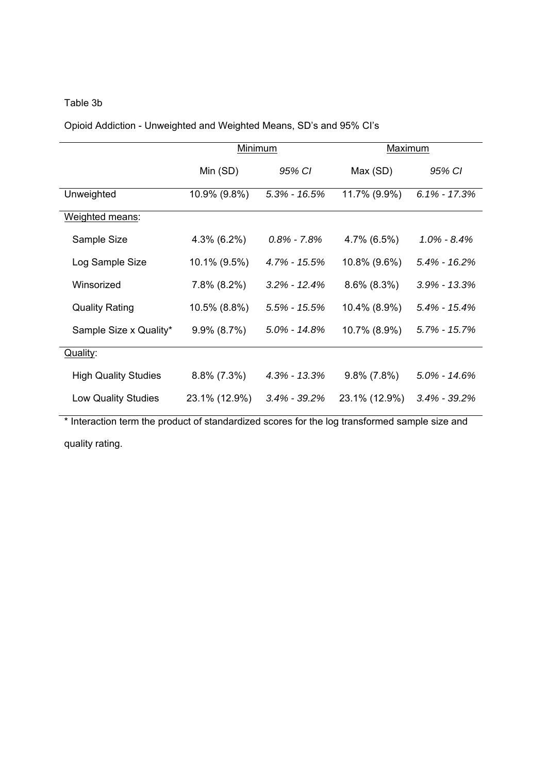# Table 3b

|  | Opioid Addiction - Unweighted and Weighted Means, SD's and 95% CI's |  |  |
|--|---------------------------------------------------------------------|--|--|
|  |                                                                     |  |  |

|                             | Minimum        |                  | Maximum        |                  |  |
|-----------------------------|----------------|------------------|----------------|------------------|--|
|                             | Min (SD)       | 95% CI           | Max (SD)       | 95% CI           |  |
| Unweighted                  | 10.9% (9.8%)   | $5.3\% - 16.5\%$ | 11.7% (9.9%)   | $6.1\% - 17.3\%$ |  |
| Weighted means:             |                |                  |                |                  |  |
| Sample Size                 | 4.3% (6.2%)    | $0.8\%$ - 7.8%   | 4.7% (6.5%)    | 1.0% - 8.4%      |  |
| Log Sample Size             | 10.1% (9.5%)   | $4.7\% - 15.5\%$ | 10.8% (9.6%)   | $5.4\% - 16.2\%$ |  |
| Winsorized                  | 7.8% (8.2%)    | $3.2\% - 12.4\%$ | $8.6\%$ (8.3%) | $3.9\% - 13.3\%$ |  |
| <b>Quality Rating</b>       | 10.5% (8.8%)   | $5.5\% - 15.5\%$ | 10.4% (8.9%)   | $5.4\% - 15.4\%$ |  |
| Sample Size x Quality*      | $9.9\%$ (8.7%) | $5.0\% - 14.8\%$ | 10.7% (8.9%)   | $5.7\% - 15.7\%$ |  |
| Quality:                    |                |                  |                |                  |  |
| <b>High Quality Studies</b> | $8.8\%$ (7.3%) | $4.3\% - 13.3\%$ | $9.8\%$ (7.8%) | $5.0\% - 14.6\%$ |  |
| <b>Low Quality Studies</b>  | 23.1% (12.9%)  | $3.4\% - 39.2\%$ | 23.1% (12.9%)  | $3.4\%$ - 39.2%  |  |

\* Interaction term the product of standardized scores for the log transformed sample size and

quality rating.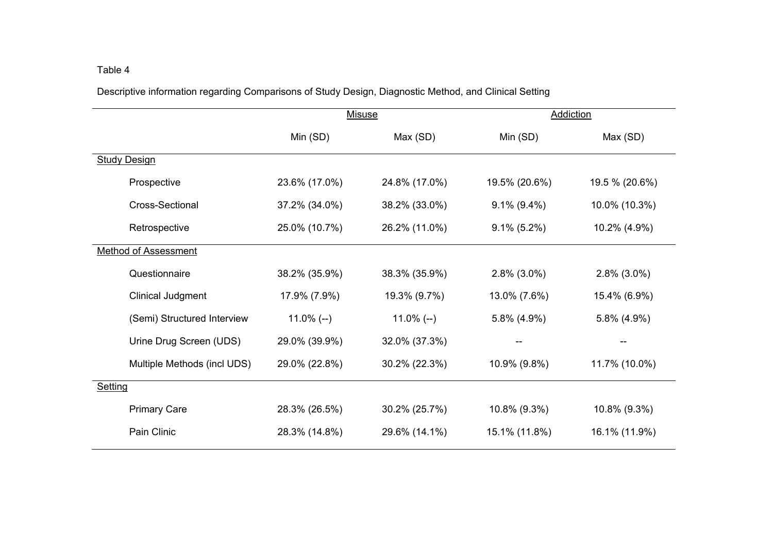### Table 4

Descriptive information regarding Comparisons of Study Design, Diagnostic Method, and Clinical Setting

|                             |               | <b>Misuse</b> | <b>Addiction</b> |                |  |
|-----------------------------|---------------|---------------|------------------|----------------|--|
|                             | Min (SD)      | Max (SD)      | Min (SD)         | Max (SD)       |  |
| <b>Study Design</b>         |               |               |                  |                |  |
| Prospective                 | 23.6% (17.0%) | 24.8% (17.0%) | 19.5% (20.6%)    | 19.5 % (20.6%) |  |
| Cross-Sectional             | 37.2% (34.0%) | 38.2% (33.0%) | $9.1\%$ (9.4%)   | 10.0% (10.3%)  |  |
| Retrospective               | 25.0% (10.7%) | 26.2% (11.0%) | $9.1\%$ (5.2%)   | 10.2% (4.9%)   |  |
| <b>Method of Assessment</b> |               |               |                  |                |  |
| Questionnaire               | 38.2% (35.9%) | 38.3% (35.9%) | $2.8\%$ (3.0%)   | $2.8\%$ (3.0%) |  |
| <b>Clinical Judgment</b>    | 17.9% (7.9%)  | 19.3% (9.7%)  | 13.0% (7.6%)     | 15.4% (6.9%)   |  |
| (Semi) Structured Interview | $11.0\%$ (--) | $11.0\%$ (--) | 5.8% (4.9%)      | 5.8% (4.9%)    |  |
| Urine Drug Screen (UDS)     | 29.0% (39.9%) | 32.0% (37.3%) |                  |                |  |
| Multiple Methods (incl UDS) | 29.0% (22.8%) | 30.2% (22.3%) | 10.9% (9.8%)     | 11.7% (10.0%)  |  |
| Setting                     |               |               |                  |                |  |
| <b>Primary Care</b>         | 28.3% (26.5%) | 30.2% (25.7%) | 10.8% (9.3%)     | 10.8% (9.3%)   |  |
| Pain Clinic                 | 28.3% (14.8%) | 29.6% (14.1%) | 15.1% (11.8%)    | 16.1% (11.9%)  |  |